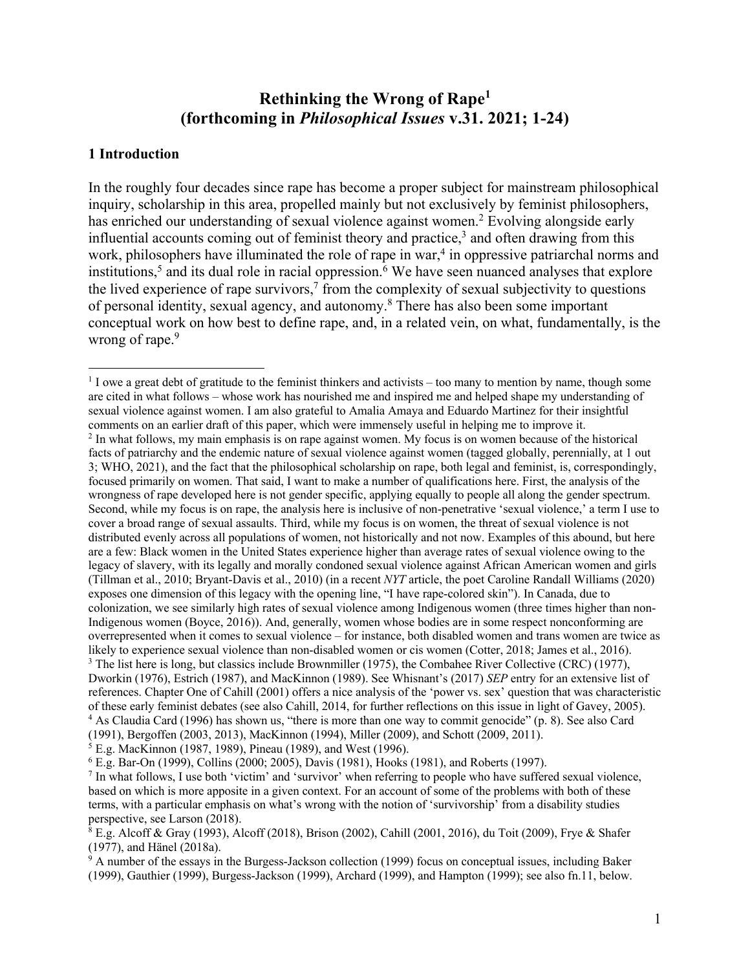# **Rethinking the Wrong of Rape1 (forthcoming in** *Philosophical Issues* **v.31. 2021; 1-24)**

## **1 Introduction**

In the roughly four decades since rape has become a proper subject for mainstream philosophical inquiry, scholarship in this area, propelled mainly but not exclusively by feminist philosophers, has enriched our understanding of sexual violence against women. <sup>2</sup> Evolving alongside early influential accounts coming out of feminist theory and practice, $3$  and often drawing from this work, philosophers have illuminated the role of rape in war,<sup>4</sup> in oppressive patriarchal norms and institutions, <sup>5</sup> and its dual role in racial oppression. <sup>6</sup> We have seen nuanced analyses that explore the lived experience of rape survivors, <sup>7</sup> from the complexity of sexual subjectivity to questions of personal identity, sexual agency, and autonomy.8 There has also been some important conceptual work on how best to define rape, and, in a related vein, on what, fundamentally, is the wrong of rape.<sup>9</sup>

<sup>6</sup> E.g. Bar-On (1999), Collins (2000; 2005), Davis (1981), Hooks (1981), and Roberts (1997).

 $1$  I owe a great debt of gratitude to the feminist thinkers and activists – too many to mention by name, though some are cited in what follows – whose work has nourished me and inspired me and helped shape my understanding of sexual violence against women. I am also grateful to Amalia Amaya and Eduardo Martinez for their insightful comments on an earlier draft of this paper, which were immensely useful in helping me to improve it.<br><sup>2</sup> In what follows, my main emphasis is on rape against women. My focus is on women because of the historical facts of patriarchy and the endemic nature of sexual violence against women (tagged globally, perennially, at 1 out 3; WHO, 2021), and the fact that the philosophical scholarship on rape, both legal and feminist, is, correspondingly, focused primarily on women. That said, I want to make a number of qualifications here. First, the analysis of the wrongness of rape developed here is not gender specific, applying equally to people all along the gender spectrum. Second, while my focus is on rape, the analysis here is inclusive of non-penetrative 'sexual violence,' a term I use to cover a broad range of sexual assaults. Third, while my focus is on women, the threat of sexual violence is not distributed evenly across all populations of women, not historically and not now. Examples of this abound, but here are a few: Black women in the United States experience higher than average rates of sexual violence owing to the legacy of slavery, with its legally and morally condoned sexual violence against African American women and girls (Tillman et al., 2010; Bryant-Davis et al., 2010) (in a recent *NYT* article, the poet Caroline Randall Williams (2020) exposes one dimension of this legacy with the opening line, "I have rape-colored skin"). In Canada, due to colonization, we see similarly high rates of sexual violence among Indigenous women (three times higher than non-Indigenous women (Boyce, 2016)). And, generally, women whose bodies are in some respect nonconforming are overrepresented when it comes to sexual violence – for instance, both disabled women and trans women are twice as likely to experience sexual violence than non-disabled women or cis women (Cotter, 2018; James et al., 2016). <sup>3</sup> The list here is long, but classics include Brownmiller (1975), the Combahee River Collective (CRC) (1977), Dworkin (1976), Estrich (1987), and MacKinnon (1989). See Whisnant's (2017) *SEP* entry for an extensive list of references. Chapter One of Cahill (2001) offers a nice analysis of the 'power vs. sex' question that was characteristic of these early feminist debates (see also Cahill, 2014, for further reflections on this issue in light of Gavey, 2005). <sup>4</sup> As Claudia Card (1996) has shown us, "there is more than one way to commit genocide" (p. 8). See also Card (1991), Bergoffen (2003, 2013), MacKinnon (1994), Miller (2009), and Schott (2009, 2011). 5 E.g. MacKinnon (1987, 1989), Pineau (1989), and West (1996).

<sup>7</sup> In what follows, I use both 'victim' and 'survivor' when referring to people who have suffered sexual violence, based on which is more apposite in a given context. For an account of some of the problems with both of these terms, with a particular emphasis on what's wrong with the notion of 'survivorship' from a disability studies perspective, see Larson (2018).

 $8$  E.g. Alcoff & Gray (1993), Alcoff (2018), Brison (2002), Cahill (2001, 2016), du Toit (2009), Frye & Shafer (1977), and Hänel (2018a).

<sup>&</sup>lt;sup>9</sup> A number of the essays in the Burgess-Jackson collection (1999) focus on conceptual issues, including Baker (1999), Gauthier (1999), Burgess-Jackson (1999), Archard (1999), and Hampton (1999); see also fn.11, below.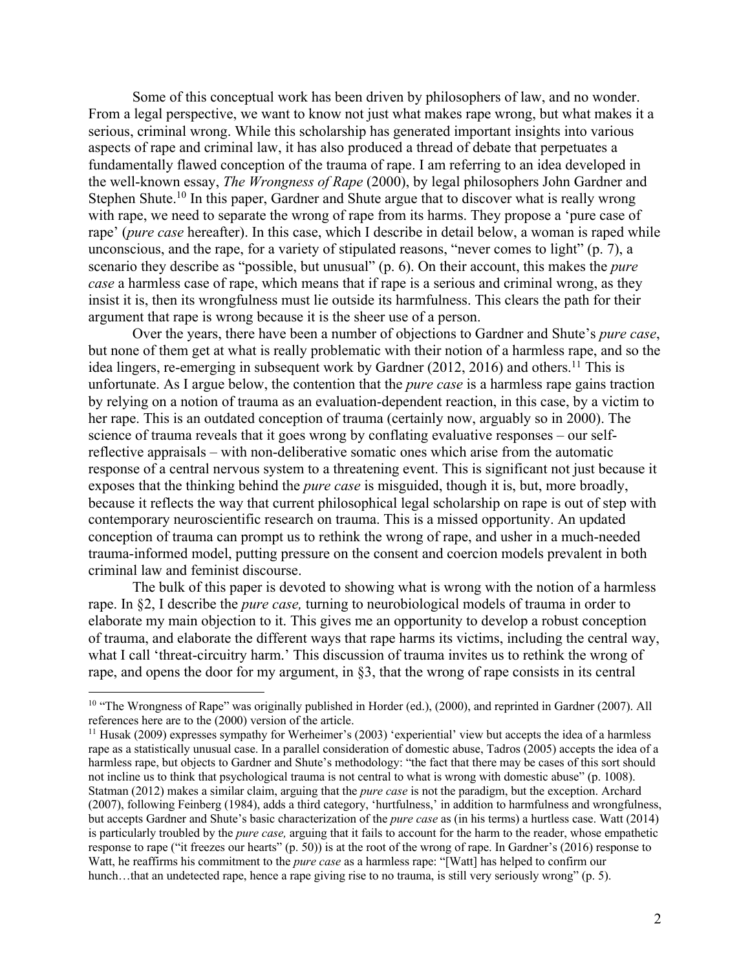Some of this conceptual work has been driven by philosophers of law, and no wonder. From a legal perspective, we want to know not just what makes rape wrong, but what makes it a serious, criminal wrong. While this scholarship has generated important insights into various aspects of rape and criminal law, it has also produced a thread of debate that perpetuates a fundamentally flawed conception of the trauma of rape. I am referring to an idea developed in the well-known essay, *The Wrongness of Rape* (2000), by legal philosophers John Gardner and Stephen Shute.<sup>10</sup> In this paper, Gardner and Shute argue that to discover what is really wrong with rape, we need to separate the wrong of rape from its harms. They propose a 'pure case of rape' (*pure case* hereafter). In this case, which I describe in detail below, a woman is raped while unconscious, and the rape, for a variety of stipulated reasons, "never comes to light" (p. 7), a scenario they describe as "possible, but unusual" (p. 6). On their account, this makes the *pure case* a harmless case of rape, which means that if rape is a serious and criminal wrong, as they insist it is, then its wrongfulness must lie outside its harmfulness. This clears the path for their argument that rape is wrong because it is the sheer use of a person.

Over the years, there have been a number of objections to Gardner and Shute's *pure case*, but none of them get at what is really problematic with their notion of a harmless rape, and so the idea lingers, re-emerging in subsequent work by Gardner (2012, 2016) and others.<sup>11</sup> This is unfortunate. As I argue below, the contention that the *pure case* is a harmless rape gains traction by relying on a notion of trauma as an evaluation-dependent reaction, in this case, by a victim to her rape. This is an outdated conception of trauma (certainly now, arguably so in 2000). The science of trauma reveals that it goes wrong by conflating evaluative responses – our selfreflective appraisals – with non-deliberative somatic ones which arise from the automatic response of a central nervous system to a threatening event. This is significant not just because it exposes that the thinking behind the *pure case* is misguided, though it is, but, more broadly, because it reflects the way that current philosophical legal scholarship on rape is out of step with contemporary neuroscientific research on trauma. This is a missed opportunity. An updated conception of trauma can prompt us to rethink the wrong of rape, and usher in a much-needed trauma-informed model, putting pressure on the consent and coercion models prevalent in both criminal law and feminist discourse.

The bulk of this paper is devoted to showing what is wrong with the notion of a harmless rape. In §2, I describe the *pure case,* turning to neurobiological models of trauma in order to elaborate my main objection to it. This gives me an opportunity to develop a robust conception of trauma, and elaborate the different ways that rape harms its victims, including the central way, what I call 'threat-circuitry harm.' This discussion of trauma invites us to rethink the wrong of rape, and opens the door for my argument, in §3, that the wrong of rape consists in its central

<sup>&</sup>lt;sup>10</sup> "The Wrongness of Rape" was originally published in Horder (ed.), (2000), and reprinted in Gardner (2007). All references here are to the (2000) version of the article.

<sup>&</sup>lt;sup>11</sup> Husak (2009) expresses sympathy for Werheimer's (2003) 'experiential' view but accepts the idea of a harmless rape as a statistically unusual case. In a parallel consideration of domestic abuse, Tadros (2005) accepts the idea of a harmless rape, but objects to Gardner and Shute's methodology: "the fact that there may be cases of this sort should not incline us to think that psychological trauma is not central to what is wrong with domestic abuse" (p. 1008). Statman (2012) makes a similar claim, arguing that the *pure case* is not the paradigm, but the exception. Archard (2007), following Feinberg (1984), adds a third category, 'hurtfulness,' in addition to harmfulness and wrongfulness, but accepts Gardner and Shute's basic characterization of the *pure case* as (in his terms) a hurtless case. Watt (2014) is particularly troubled by the *pure case,* arguing that it fails to account for the harm to the reader, whose empathetic response to rape ("it freezes our hearts" (p. 50)) is at the root of the wrong of rape. In Gardner's (2016) response to Watt, he reaffirms his commitment to the *pure case* as a harmless rape: "[Watt] has helped to confirm our hunch…that an undetected rape, hence a rape giving rise to no trauma, is still very seriously wrong" (p. 5).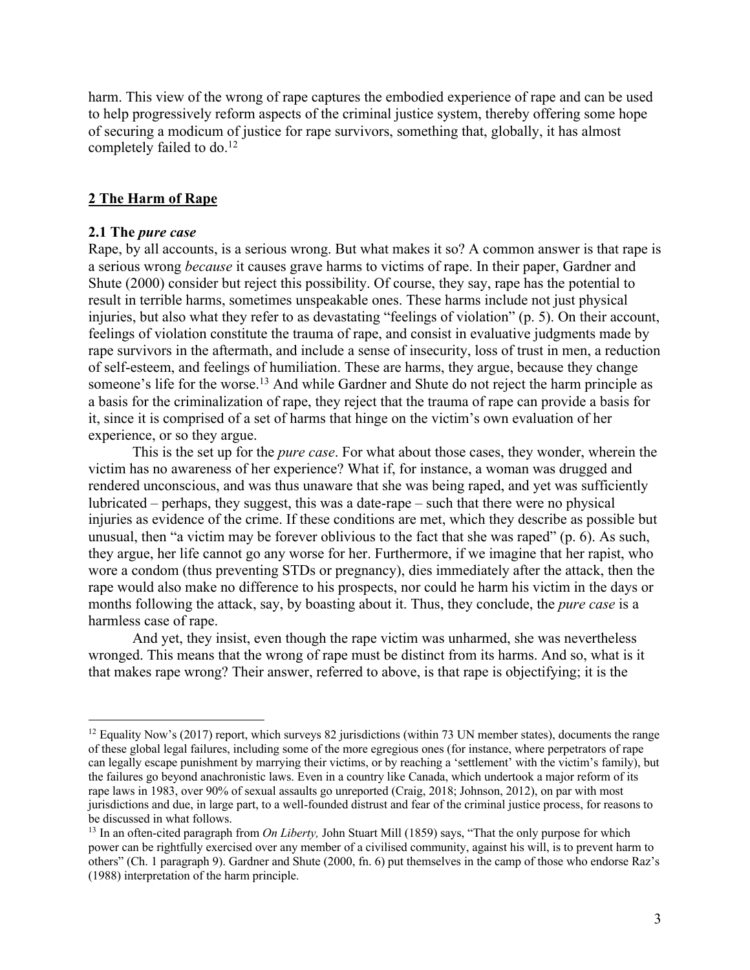harm. This view of the wrong of rape captures the embodied experience of rape and can be used to help progressively reform aspects of the criminal justice system, thereby offering some hope of securing a modicum of justice for rape survivors, something that, globally, it has almost completely failed to do. 12

#### **2 The Harm of Rape**

#### **2.1 The** *pure case*

Rape, by all accounts, is a serious wrong. But what makes it so? A common answer is that rape is a serious wrong *because* it causes grave harms to victims of rape. In their paper, Gardner and Shute (2000) consider but reject this possibility. Of course, they say, rape has the potential to result in terrible harms, sometimes unspeakable ones. These harms include not just physical injuries, but also what they refer to as devastating "feelings of violation" (p. 5). On their account, feelings of violation constitute the trauma of rape, and consist in evaluative judgments made by rape survivors in the aftermath, and include a sense of insecurity, loss of trust in men, a reduction of self-esteem, and feelings of humiliation. These are harms, they argue, because they change someone's life for the worse.<sup>13</sup> And while Gardner and Shute do not reject the harm principle as a basis for the criminalization of rape, they reject that the trauma of rape can provide a basis for it, since it is comprised of a set of harms that hinge on the victim's own evaluation of her experience, or so they argue.

This is the set up for the *pure case*. For what about those cases, they wonder, wherein the victim has no awareness of her experience? What if, for instance, a woman was drugged and rendered unconscious, and was thus unaware that she was being raped, and yet was sufficiently lubricated – perhaps, they suggest, this was a date-rape – such that there were no physical injuries as evidence of the crime. If these conditions are met, which they describe as possible but unusual, then "a victim may be forever oblivious to the fact that she was raped" (p. 6). As such, they argue, her life cannot go any worse for her. Furthermore, if we imagine that her rapist, who wore a condom (thus preventing STDs or pregnancy), dies immediately after the attack, then the rape would also make no difference to his prospects, nor could he harm his victim in the days or months following the attack, say, by boasting about it. Thus, they conclude, the *pure case* is a harmless case of rape.

And yet, they insist, even though the rape victim was unharmed, she was nevertheless wronged. This means that the wrong of rape must be distinct from its harms. And so, what is it that makes rape wrong? Their answer, referred to above, is that rape is objectifying; it is the

<sup>&</sup>lt;sup>12</sup> Equality Now's (2017) report, which surveys 82 jurisdictions (within 73 UN member states), documents the range of these global legal failures, including some of the more egregious ones (for instance, where perpetrators of rape can legally escape punishment by marrying their victims, or by reaching a 'settlement' with the victim's family), but the failures go beyond anachronistic laws. Even in a country like Canada, which undertook a major reform of its rape laws in 1983, over 90% of sexual assaults go unreported (Craig, 2018; Johnson, 2012), on par with most jurisdictions and due, in large part, to a well-founded distrust and fear of the criminal justice process, for reasons to be discussed in what follows.

<sup>&</sup>lt;sup>13</sup> In an often-cited paragraph from *On Liberty*, John Stuart Mill (1859) says, "That the only purpose for which power can be rightfully exercised over any member of a civilised community, against his will, is to prevent harm to others" (Ch. 1 paragraph 9). Gardner and Shute (2000, fn. 6) put themselves in the camp of those who endorse Raz's (1988) interpretation of the harm principle.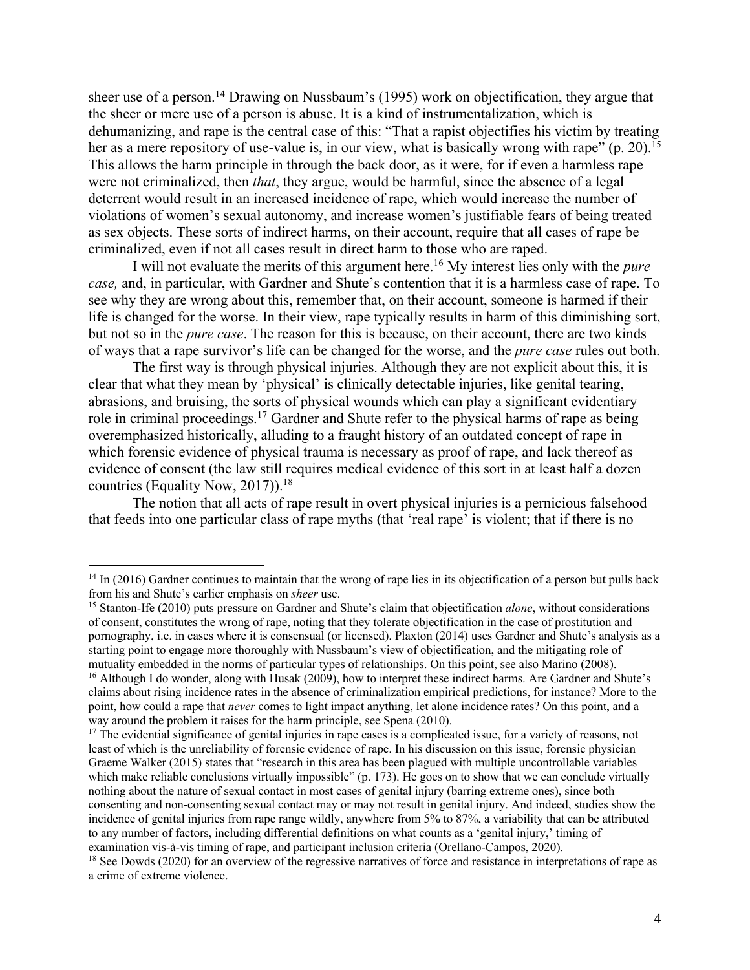sheer use of a person.<sup>14</sup> Drawing on Nussbaum's (1995) work on objectification, they argue that the sheer or mere use of a person is abuse. It is a kind of instrumentalization, which is dehumanizing, and rape is the central case of this: "That a rapist objectifies his victim by treating her as a mere repository of use-value is, in our view, what is basically wrong with rape" (p. 20).<sup>15</sup> This allows the harm principle in through the back door, as it were, for if even a harmless rape were not criminalized, then *that*, they argue, would be harmful, since the absence of a legal deterrent would result in an increased incidence of rape, which would increase the number of violations of women's sexual autonomy, and increase women's justifiable fears of being treated as sex objects. These sorts of indirect harms, on their account, require that all cases of rape be criminalized, even if not all cases result in direct harm to those who are raped.

I will not evaluate the merits of this argument here. <sup>16</sup> My interest lies only with the *pure case,* and, in particular, with Gardner and Shute's contention that it is a harmless case of rape. To see why they are wrong about this, remember that, on their account, someone is harmed if their life is changed for the worse. In their view, rape typically results in harm of this diminishing sort, but not so in the *pure case*. The reason for this is because, on their account, there are two kinds of ways that a rape survivor's life can be changed for the worse, and the *pure case* rules out both.

The first way is through physical injuries. Although they are not explicit about this, it is clear that what they mean by 'physical' is clinically detectable injuries, like genital tearing, abrasions, and bruising, the sorts of physical wounds which can play a significant evidentiary role in criminal proceedings.<sup>17</sup> Gardner and Shute refer to the physical harms of rape as being overemphasized historically, alluding to a fraught history of an outdated concept of rape in which forensic evidence of physical trauma is necessary as proof of rape, and lack thereof as evidence of consent (the law still requires medical evidence of this sort in at least half a dozen countries (Equality Now, 2017)). 18

The notion that all acts of rape result in overt physical injuries is a pernicious falsehood that feeds into one particular class of rape myths (that 'real rape' is violent; that if there is no

<sup>&</sup>lt;sup>14</sup> In (2016) Gardner continues to maintain that the wrong of rape lies in its objectification of a person but pulls back from his and Shute's earlier emphasis on *sheer* use.

<sup>15</sup> Stanton-Ife (2010) puts pressure on Gardner and Shute's claim that objectification *alone*, without considerations of consent, constitutes the wrong of rape, noting that they tolerate objectification in the case of prostitution and pornography, i.e. in cases where it is consensual (or licensed). Plaxton (2014) uses Gardner and Shute's analysis as a starting point to engage more thoroughly with Nussbaum's view of objectification, and the mitigating role of mutuality embedded in the norms of particular types of relationships. On this point, see also Marino (2008). 16 Although I do wonder, along with Husak (2009), how to interpret these indirect harms. Are Gardner and Shute's

claims about rising incidence rates in the absence of criminalization empirical predictions, for instance? More to the point, how could a rape that *never* comes to light impact anything, let alone incidence rates? On this point, and a way around the problem it raises for the harm principle, see Spena (2010).

<sup>&</sup>lt;sup>17</sup> The evidential significance of genital injuries in rape cases is a complicated issue, for a variety of reasons, not least of which is the unreliability of forensic evidence of rape. In his discussion on this issue, forensic physician Graeme Walker (2015) states that "research in this area has been plagued with multiple uncontrollable variables which make reliable conclusions virtually impossible" (p. 173). He goes on to show that we can conclude virtually nothing about the nature of sexual contact in most cases of genital injury (barring extreme ones), since both consenting and non-consenting sexual contact may or may not result in genital injury. And indeed, studies show the incidence of genital injuries from rape range wildly, anywhere from 5% to 87%, a variability that can be attributed to any number of factors, including differential definitions on what counts as a 'genital injury,' timing of

examination vis-à-vis timing of rape, and participant inclusion criteria (Orellano-Campos, 2020). <sup>18</sup> See Dowds (2020) for an overview of the regressive narratives of force and resistance in interpretations of rape as a crime of extreme violence.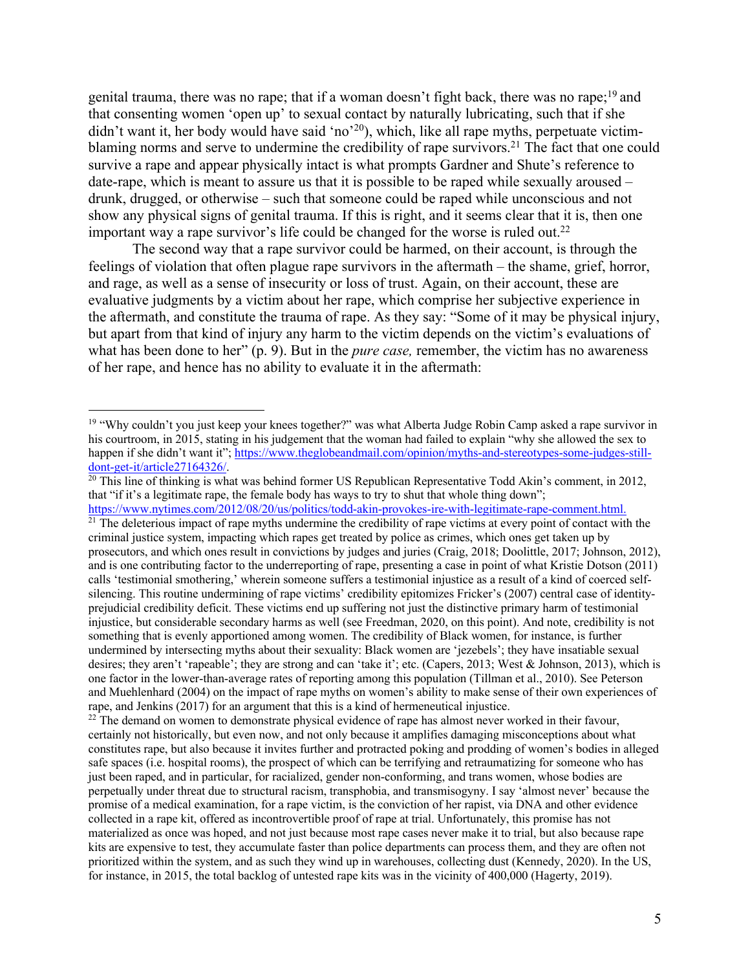genital trauma, there was no rape; that if a woman doesn't fight back, there was no rape;<sup>19</sup> and that consenting women 'open up' to sexual contact by naturally lubricating, such that if she didn't want it, her body would have said 'no'<sup>20</sup>), which, like all rape myths, perpetuate victimblaming norms and serve to undermine the credibility of rape survivors.<sup>21</sup> The fact that one could survive a rape and appear physically intact is what prompts Gardner and Shute's reference to date-rape, which is meant to assure us that it is possible to be raped while sexually aroused – drunk, drugged, or otherwise – such that someone could be raped while unconscious and not show any physical signs of genital trauma. If this is right, and it seems clear that it is, then one important way a rape survivor's life could be changed for the worse is ruled out.<sup>22</sup>

The second way that a rape survivor could be harmed, on their account, is through the feelings of violation that often plague rape survivors in the aftermath – the shame, grief, horror, and rage, as well as a sense of insecurity or loss of trust. Again, on their account, these are evaluative judgments by a victim about her rape, which comprise her subjective experience in the aftermath, and constitute the trauma of rape. As they say: "Some of it may be physical injury, but apart from that kind of injury any harm to the victim depends on the victim's evaluations of what has been done to her" (p. 9). But in the *pure case,* remember, the victim has no awareness of her rape, and hence has no ability to evaluate it in the aftermath:

<sup>&</sup>lt;sup>19</sup> "Why couldn't you just keep your knees together?" was what Alberta Judge Robin Camp asked a rape survivor in his courtroom, in 2015, stating in his judgement that the woman had failed to explain "why she allowed the sex to happen if she didn't want it"; https://www.theglobeandmail.com/opinion/myths-and-stereotypes-some-judges-stilldont-get-it/article27164326/.

 $\frac{20 \text{ This line of thinking is what was behind former US Republican Representative Todd Akin's comment, in 2012,}.$ that "if it's a legitimate rape, the female body has ways to try to shut that whole thing down"; https://www.nytimes.com/2012/08/20/us/politics/todd-akin-provokes-ire-with-legitimate-rape-comment.html.

 $21$  The deleterious impact of rape myths undermine the credibility of rape victims at every point of contact with the criminal justice system, impacting which rapes get treated by police as crimes, which ones get taken up by prosecutors, and which ones result in convictions by judges and juries (Craig, 2018; Doolittle, 2017; Johnson, 2012), and is one contributing factor to the underreporting of rape, presenting a case in point of what Kristie Dotson (2011) calls 'testimonial smothering,' wherein someone suffers a testimonial injustice as a result of a kind of coerced selfsilencing. This routine undermining of rape victims' credibility epitomizes Fricker's (2007) central case of identityprejudicial credibility deficit. These victims end up suffering not just the distinctive primary harm of testimonial injustice, but considerable secondary harms as well (see Freedman, 2020, on this point). And note, credibility is not something that is evenly apportioned among women. The credibility of Black women, for instance, is further undermined by intersecting myths about their sexuality: Black women are 'jezebels'; they have insatiable sexual desires; they aren't 'rapeable'; they are strong and can 'take it'; etc. (Capers, 2013; West & Johnson, 2013), which is one factor in the lower-than-average rates of reporting among this population (Tillman et al., 2010). See Peterson and Muehlenhard (2004) on the impact of rape myths on women's ability to make sense of their own experiences of rape, and Jenkins (2017) for an argument that this is a kind of hermeneutical injustice.

 $^{22}$  The demand on women to demonstrate physical evidence of rape has almost never worked in their favour, certainly not historically, but even now, and not only because it amplifies damaging misconceptions about what constitutes rape, but also because it invites further and protracted poking and prodding of women's bodies in alleged safe spaces (i.e. hospital rooms), the prospect of which can be terrifying and retraumatizing for someone who has just been raped, and in particular, for racialized, gender non-conforming, and trans women, whose bodies are perpetually under threat due to structural racism, transphobia, and transmisogyny. I say 'almost never' because the promise of a medical examination, for a rape victim, is the conviction of her rapist, via DNA and other evidence collected in a rape kit, offered as incontrovertible proof of rape at trial. Unfortunately, this promise has not materialized as once was hoped, and not just because most rape cases never make it to trial, but also because rape kits are expensive to test, they accumulate faster than police departments can process them, and they are often not prioritized within the system, and as such they wind up in warehouses, collecting dust (Kennedy, 2020). In the US, for instance, in 2015, the total backlog of untested rape kits was in the vicinity of 400,000 (Hagerty, 2019).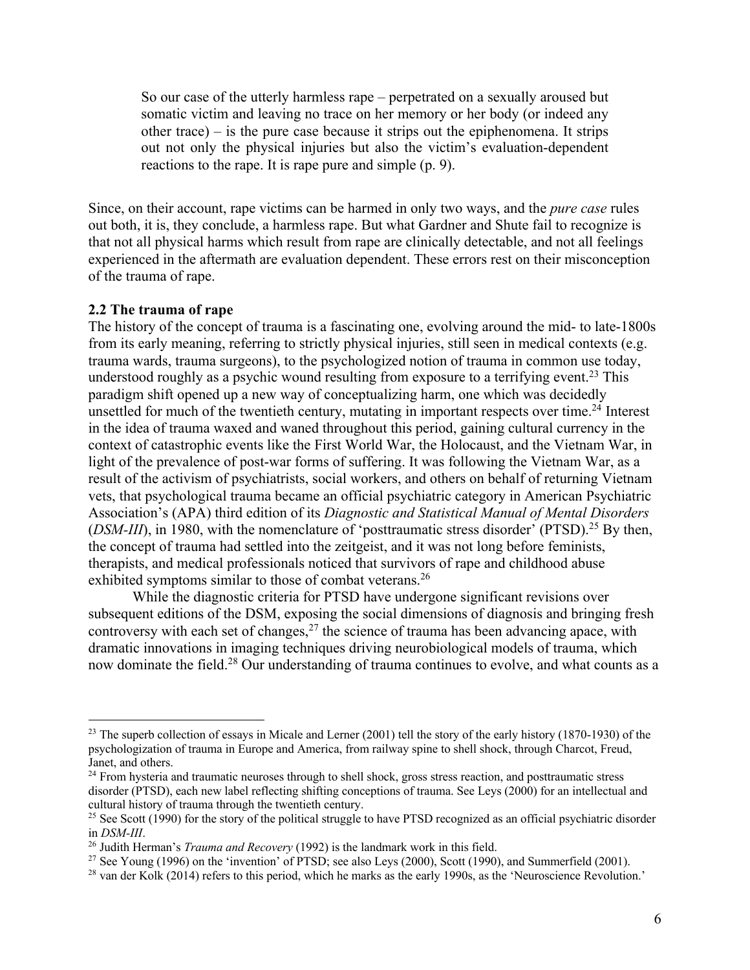So our case of the utterly harmless rape – perpetrated on a sexually aroused but somatic victim and leaving no trace on her memory or her body (or indeed any other trace) – is the pure case because it strips out the epiphenomena. It strips out not only the physical injuries but also the victim's evaluation-dependent reactions to the rape. It is rape pure and simple (p. 9).

Since, on their account, rape victims can be harmed in only two ways, and the *pure case* rules out both, it is, they conclude, a harmless rape. But what Gardner and Shute fail to recognize is that not all physical harms which result from rape are clinically detectable, and not all feelings experienced in the aftermath are evaluation dependent. These errors rest on their misconception of the trauma of rape.

### **2.2 The trauma of rape**

The history of the concept of trauma is a fascinating one, evolving around the mid- to late-1800s from its early meaning, referring to strictly physical injuries, still seen in medical contexts (e.g. trauma wards, trauma surgeons), to the psychologized notion of trauma in common use today, understood roughly as a psychic wound resulting from exposure to a terrifying event.<sup>23</sup> This paradigm shift opened up a new way of conceptualizing harm, one which was decidedly unsettled for much of the twentieth century, mutating in important respects over time.<sup>24</sup> Interest in the idea of trauma waxed and waned throughout this period, gaining cultural currency in the context of catastrophic events like the First World War, the Holocaust, and the Vietnam War, in light of the prevalence of post-war forms of suffering. It was following the Vietnam War, as a result of the activism of psychiatrists, social workers, and others on behalf of returning Vietnam vets, that psychological trauma became an official psychiatric category in American Psychiatric Association's (APA) third edition of its *Diagnostic and Statistical Manual of Mental Disorders* (*DSM-III*), in 1980, with the nomenclature of 'posttraumatic stress disorder' (PTSD).<sup>25</sup> By then, the concept of trauma had settled into the zeitgeist, and it was not long before feminists, therapists, and medical professionals noticed that survivors of rape and childhood abuse exhibited symptoms similar to those of combat veterans.<sup>26</sup>

While the diagnostic criteria for PTSD have undergone significant revisions over subsequent editions of the DSM, exposing the social dimensions of diagnosis and bringing fresh controversy with each set of changes, $27$  the science of trauma has been advancing apace, with dramatic innovations in imaging techniques driving neurobiological models of trauma, which now dominate the field.<sup>28</sup> Our understanding of trauma continues to evolve, and what counts as a

 $^{23}$  The superb collection of essays in Micale and Lerner (2001) tell the story of the early history (1870-1930) of the psychologization of trauma in Europe and America, from railway spine to shell shock, through Charcot, Freud, Janet, and others.

<sup>&</sup>lt;sup>24</sup> From hysteria and traumatic neuroses through to shell shock, gross stress reaction, and posttraumatic stress disorder (PTSD), each new label reflecting shifting conceptions of trauma. See Leys (2000) for an intellectual and cultural history of trauma through the twentieth century.

<sup>&</sup>lt;sup>25</sup> See Scott (1990) for the story of the political struggle to have PTSD recognized as an official psychiatric disorder in *DSM-III*.<br><sup>26</sup> Judith Herman's *Trauma and Recovery* (1992) is the landmark work in this field.

<sup>&</sup>lt;sup>27</sup> See Young (1996) on the 'invention' of PTSD; see also Leys (2000), Scott (1990), and Summerfield (2001).<br><sup>28</sup> van der Kolk (2014) refers to this period, which he marks as the early 1990s, as the 'Neuroscience Revolut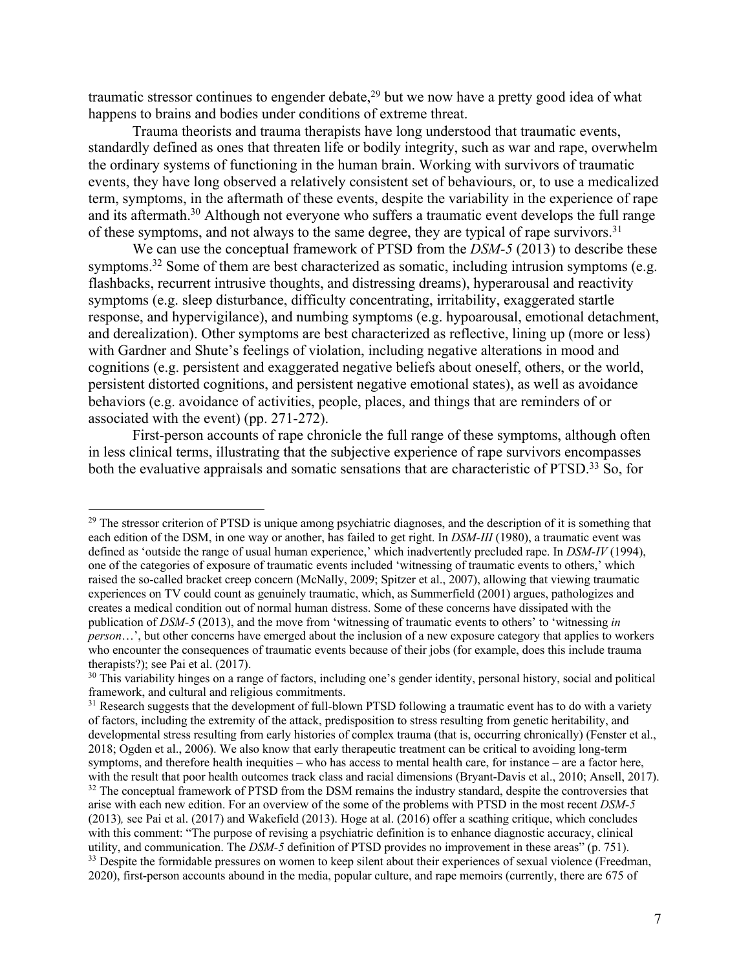traumatic stressor continues to engender debate,<sup>29</sup> but we now have a pretty good idea of what happens to brains and bodies under conditions of extreme threat.

Trauma theorists and trauma therapists have long understood that traumatic events, standardly defined as ones that threaten life or bodily integrity, such as war and rape, overwhelm the ordinary systems of functioning in the human brain. Working with survivors of traumatic events, they have long observed a relatively consistent set of behaviours, or, to use a medicalized term, symptoms, in the aftermath of these events, despite the variability in the experience of rape and its aftermath.<sup>30</sup> Although not everyone who suffers a traumatic event develops the full range of these symptoms, and not always to the same degree, they are typical of rape survivors.<sup>31</sup>

We can use the conceptual framework of PTSD from the *DSM-5* (2013) to describe these symptoms.<sup>32</sup> Some of them are best characterized as somatic, including intrusion symptoms (e.g. flashbacks, recurrent intrusive thoughts, and distressing dreams), hyperarousal and reactivity symptoms (e.g. sleep disturbance, difficulty concentrating, irritability, exaggerated startle response, and hypervigilance), and numbing symptoms (e.g. hypoarousal, emotional detachment, and derealization). Other symptoms are best characterized as reflective, lining up (more or less) with Gardner and Shute's feelings of violation, including negative alterations in mood and cognitions (e.g. persistent and exaggerated negative beliefs about oneself, others, or the world, persistent distorted cognitions, and persistent negative emotional states), as well as avoidance behaviors (e.g. avoidance of activities, people, places, and things that are reminders of or associated with the event) (pp. 271-272).

First-person accounts of rape chronicle the full range of these symptoms, although often in less clinical terms, illustrating that the subjective experience of rape survivors encompasses both the evaluative appraisals and somatic sensations that are characteristic of PTSD.<sup>33</sup> So, for

<sup>&</sup>lt;sup>29</sup> The stressor criterion of PTSD is unique among psychiatric diagnoses, and the description of it is something that each edition of the DSM, in one way or another, has failed to get right. In *DSM-III* (1980), a traumatic event was defined as 'outside the range of usual human experience,' which inadvertently precluded rape. In *DSM-IV* (1994), one of the categories of exposure of traumatic events included 'witnessing of traumatic events to others,' which raised the so-called bracket creep concern (McNally, 2009; Spitzer et al., 2007), allowing that viewing traumatic experiences on TV could count as genuinely traumatic, which, as Summerfield (2001) argues, pathologizes and creates a medical condition out of normal human distress. Some of these concerns have dissipated with the publication of *DSM-5* (2013), and the move from 'witnessing of traumatic events to others' to 'witnessing *in person*…', but other concerns have emerged about the inclusion of a new exposure category that applies to workers who encounter the consequences of traumatic events because of their jobs (for example, does this include trauma therapists?); see Pai et al. (2017).<br><sup>30</sup> This variability hinges on a range of factors, including one's gender identity, personal history, social and political

framework, and cultural and religious commitments.

<sup>&</sup>lt;sup>31</sup> Research suggests that the development of full-blown PTSD following a traumatic event has to do with a variety of factors, including the extremity of the attack, predisposition to stress resulting from genetic heritability, and developmental stress resulting from early histories of complex trauma (that is, occurring chronically) (Fenster et al., 2018; Ogden et al., 2006). We also know that early therapeutic treatment can be critical to avoiding long-term symptoms, and therefore health inequities – who has access to mental health care, for instance – are a factor here, with the result that poor health outcomes track class and racial dimensions (Bryant-Davis et al., 2010; Ansell, 2017). <sup>32</sup> The conceptual framework of PTSD from the DSM remains the industry standard, despite the controversies that arise with each new edition. For an overview of the some of the problems with PTSD in the most recent *DSM-5*  (2013)*,* see Pai et al. (2017) and Wakefield (2013). Hoge at al. (2016) offer a scathing critique, which concludes with this comment: "The purpose of revising a psychiatric definition is to enhance diagnostic accuracy, clinical utility, and communication. The *DSM-5* definition of PTSD provides no improvement in these areas" (p. 751). <sup>33</sup> Despite the formidable pressures on women to keep silent about their experiences of sexual violence (Freedman, 2020), first-person accounts abound in the media, popular culture, and rape memoirs (currently, there are 675 of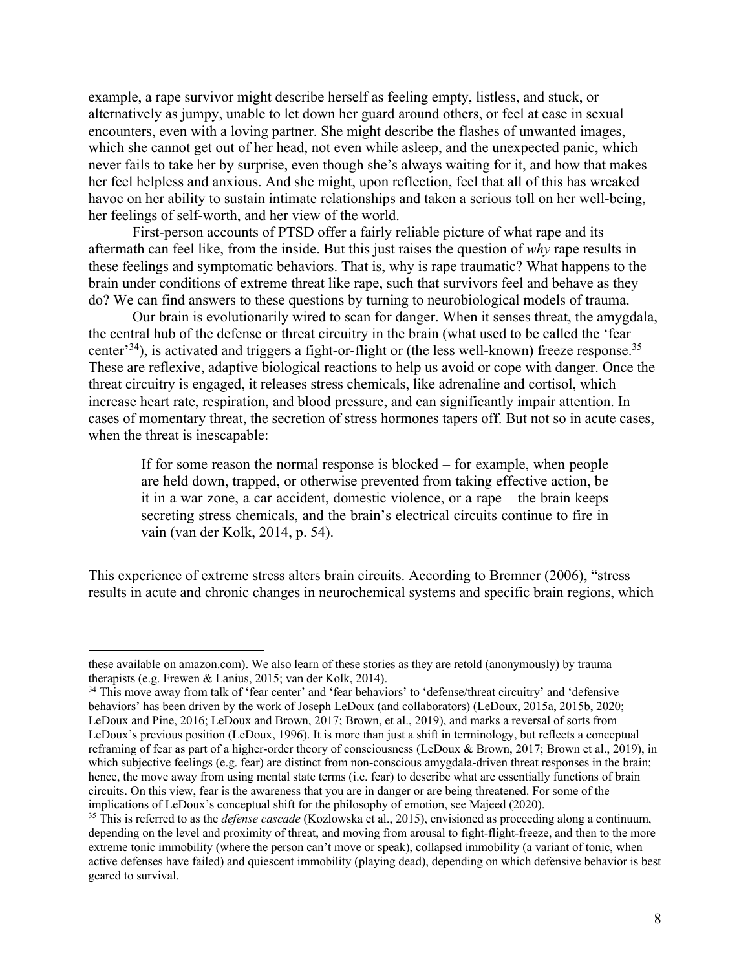example, a rape survivor might describe herself as feeling empty, listless, and stuck, or alternatively as jumpy, unable to let down her guard around others, or feel at ease in sexual encounters, even with a loving partner. She might describe the flashes of unwanted images, which she cannot get out of her head, not even while asleep, and the unexpected panic, which never fails to take her by surprise, even though she's always waiting for it, and how that makes her feel helpless and anxious. And she might, upon reflection, feel that all of this has wreaked havoc on her ability to sustain intimate relationships and taken a serious toll on her well-being, her feelings of self-worth, and her view of the world.

First-person accounts of PTSD offer a fairly reliable picture of what rape and its aftermath can feel like, from the inside. But this just raises the question of *why* rape results in these feelings and symptomatic behaviors. That is, why is rape traumatic? What happens to the brain under conditions of extreme threat like rape, such that survivors feel and behave as they do? We can find answers to these questions by turning to neurobiological models of trauma.

Our brain is evolutionarily wired to scan for danger. When it senses threat, the amygdala, the central hub of the defense or threat circuitry in the brain (what used to be called the 'fear center<sup>34</sup>), is activated and triggers a fight-or-flight or (the less well-known) freeze response.<sup>35</sup> These are reflexive, adaptive biological reactions to help us avoid or cope with danger. Once the threat circuitry is engaged, it releases stress chemicals, like adrenaline and cortisol, which increase heart rate, respiration, and blood pressure, and can significantly impair attention. In cases of momentary threat, the secretion of stress hormones tapers off. But not so in acute cases, when the threat is inescapable:

If for some reason the normal response is blocked – for example, when people are held down, trapped, or otherwise prevented from taking effective action, be it in a war zone, a car accident, domestic violence, or a rape – the brain keeps secreting stress chemicals, and the brain's electrical circuits continue to fire in vain (van der Kolk, 2014, p. 54).

This experience of extreme stress alters brain circuits. According to Bremner (2006), "stress results in acute and chronic changes in neurochemical systems and specific brain regions, which

these available on amazon.com). We also learn of these stories as they are retold (anonymously) by trauma therapists (e.g. Frewen & Lanius, 2015; van der Kolk, 2014).

<sup>34</sup> This move away from talk of 'fear center' and 'fear behaviors' to 'defense/threat circuitry' and 'defensive behaviors' has been driven by the work of Joseph LeDoux (and collaborators) (LeDoux, 2015a, 2015b, 2020; LeDoux and Pine, 2016; LeDoux and Brown, 2017; Brown, et al., 2019), and marks a reversal of sorts from LeDoux's previous position (LeDoux, 1996). It is more than just a shift in terminology, but reflects a conceptual reframing of fear as part of a higher-order theory of consciousness (LeDoux & Brown, 2017; Brown et al., 2019), in which subjective feelings (e.g. fear) are distinct from non-conscious amygdala-driven threat responses in the brain; hence, the move away from using mental state terms (i.e. fear) to describe what are essentially functions of brain circuits. On this view, fear is the awareness that you are in danger or are being threatened. For some of the implications of LeDoux's conceptual shift for the philosophy of emotion, see Majeed (2020).

<sup>35</sup> This is referred to as the *defense cascade* (Kozlowska et al., 2015), envisioned as proceeding along a continuum, depending on the level and proximity of threat, and moving from arousal to fight-flight-freeze, and then to the more extreme tonic immobility (where the person can't move or speak), collapsed immobility (a variant of tonic, when active defenses have failed) and quiescent immobility (playing dead), depending on which defensive behavior is best geared to survival.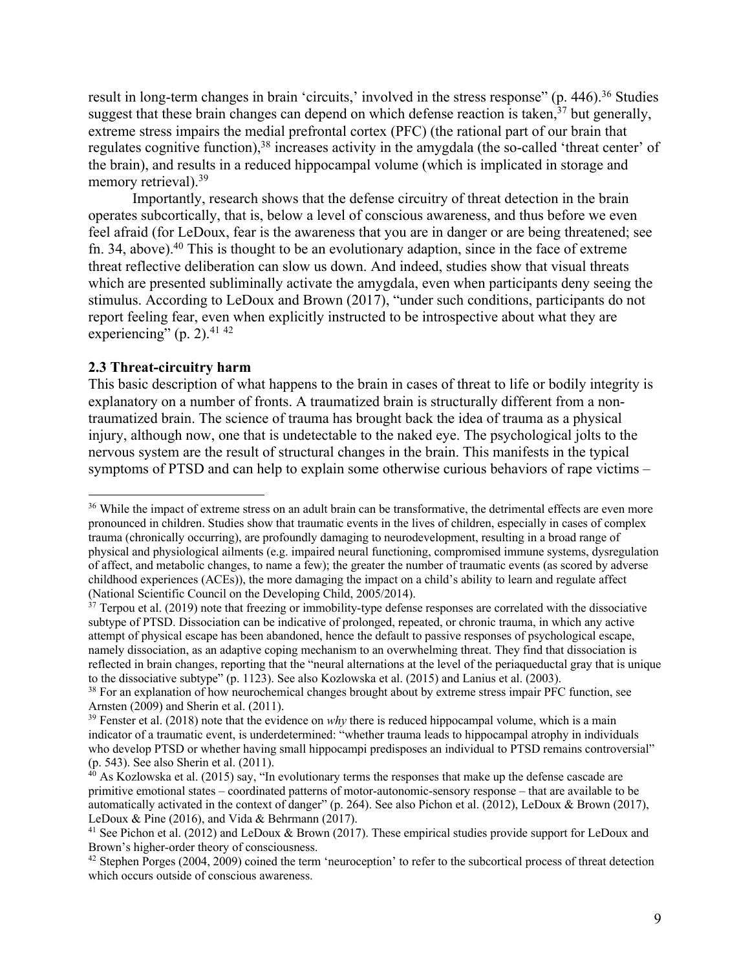result in long-term changes in brain 'circuits,' involved in the stress response" (p. 446).<sup>36</sup> Studies suggest that these brain changes can depend on which defense reaction is taken, $37$  but generally, extreme stress impairs the medial prefrontal cortex (PFC) (the rational part of our brain that regulates cognitive function),<sup>38</sup> increases activity in the amygdala (the so-called 'threat center' of the brain), and results in a reduced hippocampal volume (which is implicated in storage and memory retrieval).<sup>39</sup>

Importantly, research shows that the defense circuitry of threat detection in the brain operates subcortically, that is, below a level of conscious awareness, and thus before we even feel afraid (for LeDoux, fear is the awareness that you are in danger or are being threatened; see fn. 34, above). <sup>40</sup> This is thought to be an evolutionary adaption, since in the face of extreme threat reflective deliberation can slow us down. And indeed, studies show that visual threats which are presented subliminally activate the amygdala, even when participants deny seeing the stimulus. According to LeDoux and Brown (2017), "under such conditions, participants do not report feeling fear, even when explicitly instructed to be introspective about what they are experiencing" (p. 2). $41\frac{42}{2}$ 

## **2.3 Threat-circuitry harm**

This basic description of what happens to the brain in cases of threat to life or bodily integrity is explanatory on a number of fronts. A traumatized brain is structurally different from a nontraumatized brain. The science of trauma has brought back the idea of trauma as a physical injury, although now, one that is undetectable to the naked eye. The psychological jolts to the nervous system are the result of structural changes in the brain. This manifests in the typical symptoms of PTSD and can help to explain some otherwise curious behaviors of rape victims –

<sup>&</sup>lt;sup>36</sup> While the impact of extreme stress on an adult brain can be transformative, the detrimental effects are even more pronounced in children. Studies show that traumatic events in the lives of children, especially in cases of complex trauma (chronically occurring), are profoundly damaging to neurodevelopment, resulting in a broad range of physical and physiological ailments (e.g. impaired neural functioning, compromised immune systems, dysregulation of affect, and metabolic changes, to name a few); the greater the number of traumatic events (as scored by adverse childhood experiences (ACEs)), the more damaging the impact on a child's ability to learn and regulate affect (National Scientific Council on the Developing Child, 2005/2014).

 $37$  Terpou et al. (2019) note that freezing or immobility-type defense responses are correlated with the dissociative subtype of PTSD. Dissociation can be indicative of prolonged, repeated, or chronic trauma, in which any active attempt of physical escape has been abandoned, hence the default to passive responses of psychological escape, namely dissociation, as an adaptive coping mechanism to an overwhelming threat. They find that dissociation is reflected in brain changes, reporting that the "neural alternations at the level of the periaqueductal gray that is unique to the dissociative subtype" (p. 1123). See also Kozlowska et al. (2015) and Lanius et al. (2003).

<sup>&</sup>lt;sup>38</sup> For an explanation of how neurochemical changes brought about by extreme stress impair PFC function, see Arnsten (2009) and Sherin et al. (2011).

<sup>&</sup>lt;sup>39</sup> Fenster et al. (2018) note that the evidence on *why* there is reduced hippocampal volume, which is a main indicator of a traumatic event, is underdetermined: "whether trauma leads to hippocampal atrophy in individuals who develop PTSD or whether having small hippocampi predisposes an individual to PTSD remains controversial" (p. 543). See also Sherin et al. (2011).

 $^{40}$  As Kozlowska et al. (2015) say, "In evolutionary terms the responses that make up the defense cascade are primitive emotional states – coordinated patterns of motor-autonomic-sensory response – that are available to be automatically activated in the context of danger" (p. 264). See also Pichon et al. (2012), LeDoux & Brown (2017), LeDoux & Pine (2016), and Vida & Behrmann (2017).

<sup>&</sup>lt;sup>41</sup> See Pichon et al. (2012) and LeDoux & Brown (2017). These empirical studies provide support for LeDoux and Brown's higher-order theory of consciousness.

<sup>&</sup>lt;sup>42</sup> Stephen Porges (2004, 2009) coined the term 'neuroception' to refer to the subcortical process of threat detection which occurs outside of conscious awareness.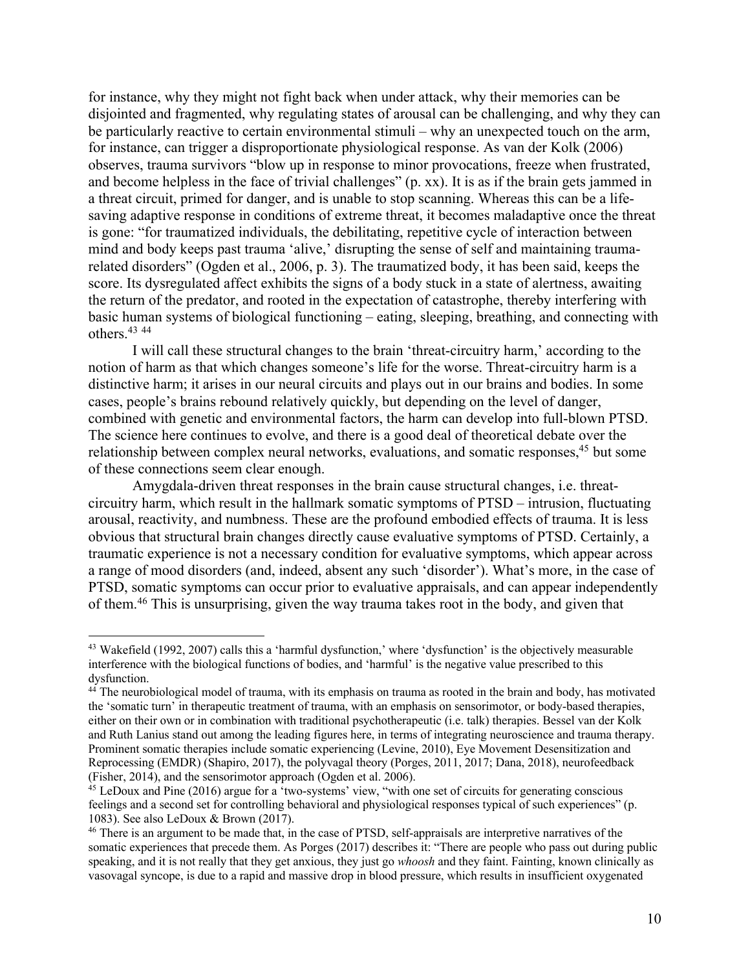for instance, why they might not fight back when under attack, why their memories can be disjointed and fragmented, why regulating states of arousal can be challenging, and why they can be particularly reactive to certain environmental stimuli – why an unexpected touch on the arm, for instance, can trigger a disproportionate physiological response. As van der Kolk (2006) observes, trauma survivors "blow up in response to minor provocations, freeze when frustrated, and become helpless in the face of trivial challenges" (p. xx). It is as if the brain gets jammed in a threat circuit, primed for danger, and is unable to stop scanning. Whereas this can be a lifesaving adaptive response in conditions of extreme threat, it becomes maladaptive once the threat is gone: "for traumatized individuals, the debilitating, repetitive cycle of interaction between mind and body keeps past trauma 'alive,' disrupting the sense of self and maintaining traumarelated disorders" (Ogden et al., 2006, p. 3). The traumatized body, it has been said, keeps the score. Its dysregulated affect exhibits the signs of a body stuck in a state of alertness, awaiting the return of the predator, and rooted in the expectation of catastrophe, thereby interfering with basic human systems of biological functioning – eating, sleeping, breathing, and connecting with others. 43 44

I will call these structural changes to the brain 'threat-circuitry harm,' according to the notion of harm as that which changes someone's life for the worse. Threat-circuitry harm is a distinctive harm; it arises in our neural circuits and plays out in our brains and bodies. In some cases, people's brains rebound relatively quickly, but depending on the level of danger, combined with genetic and environmental factors, the harm can develop into full-blown PTSD. The science here continues to evolve, and there is a good deal of theoretical debate over the relationship between complex neural networks, evaluations, and somatic responses,<sup>45</sup> but some of these connections seem clear enough.

Amygdala-driven threat responses in the brain cause structural changes, i.e. threatcircuitry harm, which result in the hallmark somatic symptoms of PTSD – intrusion, fluctuating arousal, reactivity, and numbness. These are the profound embodied effects of trauma. It is less obvious that structural brain changes directly cause evaluative symptoms of PTSD. Certainly, a traumatic experience is not a necessary condition for evaluative symptoms, which appear across a range of mood disorders (and, indeed, absent any such 'disorder'). What's more, in the case of PTSD, somatic symptoms can occur prior to evaluative appraisals, and can appear independently of them.<sup>46</sup> This is unsurprising, given the way trauma takes root in the body, and given that

<sup>&</sup>lt;sup>43</sup> Wakefield (1992, 2007) calls this a 'harmful dysfunction,' where 'dysfunction' is the objectively measurable interference with the biological functions of bodies, and 'harmful' is the negative value prescribed to this dysfunction.

<sup>&</sup>lt;sup>44</sup> The neurobiological model of trauma, with its emphasis on trauma as rooted in the brain and body, has motivated the 'somatic turn' in therapeutic treatment of trauma, with an emphasis on sensorimotor, or body-based therapies, either on their own or in combination with traditional psychotherapeutic (i.e. talk) therapies. Bessel van der Kolk and Ruth Lanius stand out among the leading figures here, in terms of integrating neuroscience and trauma therapy. Prominent somatic therapies include somatic experiencing (Levine, 2010), Eye Movement Desensitization and Reprocessing (EMDR) (Shapiro, 2017), the polyvagal theory (Porges, 2011, 2017; Dana, 2018), neurofeedback (Fisher, 2014), and the sensorimotor approach (Ogden et al. 2006). 45 LeDoux and Pine (2016) argue for a 'two-systems' view, "with one set of circuits for generating conscious

feelings and a second set for controlling behavioral and physiological responses typical of such experiences" (p. 1083). See also LeDoux & Brown (2017).

<sup>&</sup>lt;sup>46</sup> There is an argument to be made that, in the case of PTSD, self-appraisals are interpretive narratives of the somatic experiences that precede them. As Porges (2017) describes it: "There are people who pass out during public speaking, and it is not really that they get anxious, they just go *whoosh* and they faint. Fainting, known clinically as vasovagal syncope, is due to a rapid and massive drop in blood pressure, which results in insufficient oxygenated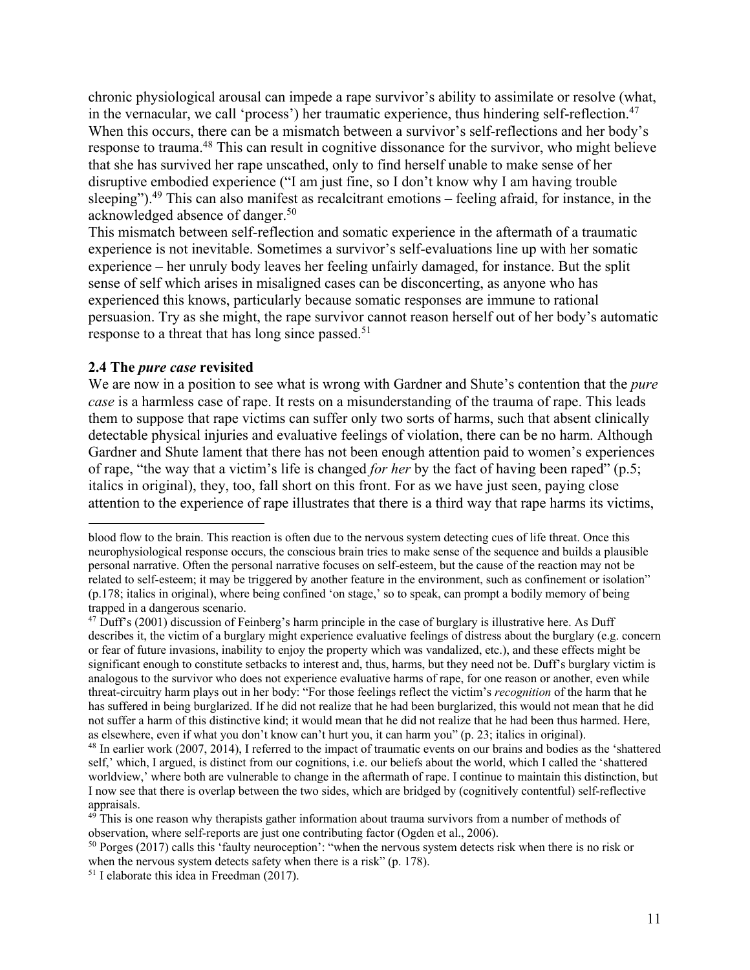chronic physiological arousal can impede a rape survivor's ability to assimilate or resolve (what, in the vernacular, we call 'process') her traumatic experience, thus hindering self-reflection. 47 When this occurs, there can be a mismatch between a survivor's self-reflections and her body's response to trauma.<sup>48</sup> This can result in cognitive dissonance for the survivor, who might believe that she has survived her rape unscathed, only to find herself unable to make sense of her disruptive embodied experience ("I am just fine, so I don't know why I am having trouble sleeping").<sup>49</sup> This can also manifest as recalcitrant emotions – feeling afraid, for instance, in the acknowledged absence of danger. 50

This mismatch between self-reflection and somatic experience in the aftermath of a traumatic experience is not inevitable. Sometimes a survivor's self-evaluations line up with her somatic experience – her unruly body leaves her feeling unfairly damaged, for instance. But the split sense of self which arises in misaligned cases can be disconcerting, as anyone who has experienced this knows, particularly because somatic responses are immune to rational persuasion. Try as she might, the rape survivor cannot reason herself out of her body's automatic response to a threat that has long since passed.<sup>51</sup>

## **2.4 The** *pure case* **revisited**

We are now in a position to see what is wrong with Gardner and Shute's contention that the *pure case* is a harmless case of rape. It rests on a misunderstanding of the trauma of rape. This leads them to suppose that rape victims can suffer only two sorts of harms, such that absent clinically detectable physical injuries and evaluative feelings of violation, there can be no harm. Although Gardner and Shute lament that there has not been enough attention paid to women's experiences of rape, "the way that a victim's life is changed *for her* by the fact of having been raped" (p.5; italics in original), they, too, fall short on this front. For as we have just seen, paying close attention to the experience of rape illustrates that there is a third way that rape harms its victims,

 $51$  I elaborate this idea in Freedman (2017).

blood flow to the brain. This reaction is often due to the nervous system detecting cues of life threat. Once this neurophysiological response occurs, the conscious brain tries to make sense of the sequence and builds a plausible personal narrative. Often the personal narrative focuses on self-esteem, but the cause of the reaction may not be related to self-esteem; it may be triggered by another feature in the environment, such as confinement or isolation" (p.178; italics in original), where being confined 'on stage,' so to speak, can prompt a bodily memory of being trapped in a dangerous scenario.

<sup>&</sup>lt;sup>47</sup> Duff's (2001) discussion of Feinberg's harm principle in the case of burglary is illustrative here. As Duff describes it, the victim of a burglary might experience evaluative feelings of distress about the burglary (e.g. concern or fear of future invasions, inability to enjoy the property which was vandalized, etc.), and these effects might be significant enough to constitute setbacks to interest and, thus, harms, but they need not be. Duff's burglary victim is analogous to the survivor who does not experience evaluative harms of rape, for one reason or another, even while threat-circuitry harm plays out in her body: "For those feelings reflect the victim's *recognition* of the harm that he has suffered in being burglarized. If he did not realize that he had been burglarized, this would not mean that he did not suffer a harm of this distinctive kind; it would mean that he did not realize that he had been thus harmed. Here, as elsewhere, even if what you don't know can't hurt you, it can harm you" (p. 23; italics in original).

<sup>48</sup> In earlier work (2007, 2014), I referred to the impact of traumatic events on our brains and bodies as the 'shattered self,' which, I argued, is distinct from our cognitions, i.e. our beliefs about the world, which I called the 'shattered worldview,' where both are vulnerable to change in the aftermath of rape. I continue to maintain this distinction, but I now see that there is overlap between the two sides, which are bridged by (cognitively contentful) self-reflective appraisals.

 $49$ <sup>1</sup>This is one reason why therapists gather information about trauma survivors from a number of methods of observation, where self-reports are just one contributing factor (Ogden et al., 2006).<br><sup>50</sup> Porges (2017) calls this 'faulty neuroception': "when the nervous system detects risk when there is no risk or

when the nervous system detects safety when there is a risk" (p. 178).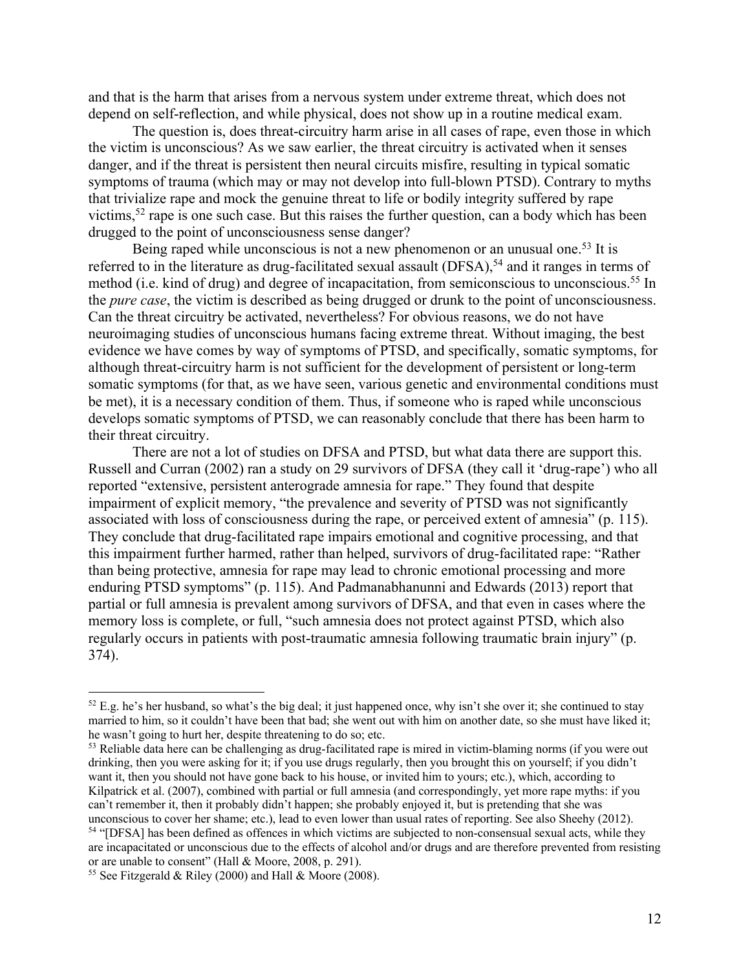and that is the harm that arises from a nervous system under extreme threat, which does not depend on self-reflection, and while physical, does not show up in a routine medical exam.

The question is, does threat-circuitry harm arise in all cases of rape, even those in which the victim is unconscious? As we saw earlier, the threat circuitry is activated when it senses danger, and if the threat is persistent then neural circuits misfire, resulting in typical somatic symptoms of trauma (which may or may not develop into full-blown PTSD). Contrary to myths that trivialize rape and mock the genuine threat to life or bodily integrity suffered by rape victims,52 rape is one such case. But this raises the further question, can a body which has been drugged to the point of unconsciousness sense danger?

Being raped while unconscious is not a new phenomenon or an unusual one.<sup>53</sup> It is referred to in the literature as drug-facilitated sexual assault (DFSA),<sup>54</sup> and it ranges in terms of method (i.e. kind of drug) and degree of incapacitation, from semiconscious to unconscious.<sup>55</sup> In the *pure case*, the victim is described as being drugged or drunk to the point of unconsciousness. Can the threat circuitry be activated, nevertheless? For obvious reasons, we do not have neuroimaging studies of unconscious humans facing extreme threat. Without imaging, the best evidence we have comes by way of symptoms of PTSD, and specifically, somatic symptoms, for although threat-circuitry harm is not sufficient for the development of persistent or long-term somatic symptoms (for that, as we have seen, various genetic and environmental conditions must be met), it is a necessary condition of them. Thus, if someone who is raped while unconscious develops somatic symptoms of PTSD, we can reasonably conclude that there has been harm to their threat circuitry.

There are not a lot of studies on DFSA and PTSD, but what data there are support this. Russell and Curran (2002) ran a study on 29 survivors of DFSA (they call it 'drug-rape') who all reported "extensive, persistent anterograde amnesia for rape." They found that despite impairment of explicit memory, "the prevalence and severity of PTSD was not significantly associated with loss of consciousness during the rape, or perceived extent of amnesia" (p. 115). They conclude that drug-facilitated rape impairs emotional and cognitive processing, and that this impairment further harmed, rather than helped, survivors of drug-facilitated rape: "Rather than being protective, amnesia for rape may lead to chronic emotional processing and more enduring PTSD symptoms" (p. 115). And Padmanabhanunni and Edwards (2013) report that partial or full amnesia is prevalent among survivors of DFSA, and that even in cases where the memory loss is complete, or full, "such amnesia does not protect against PTSD, which also regularly occurs in patients with post-traumatic amnesia following traumatic brain injury" (p. 374).

 $52$  E.g. he's her husband, so what's the big deal; it just happened once, why isn't she over it; she continued to stay married to him, so it couldn't have been that bad; she went out with him on another date, so she must have liked it; he wasn't going to hurt her, despite threatening to do so; etc.

<sup>&</sup>lt;sup>53</sup> Reliable data here can be challenging as drug-facilitated rape is mired in victim-blaming norms (if you were out drinking, then you were asking for it; if you use drugs regularly, then you brought this on yourself; if you didn't want it, then you should not have gone back to his house, or invited him to yours; etc.), which, according to Kilpatrick et al. (2007), combined with partial or full amnesia (and correspondingly, yet more rape myths: if you can't remember it, then it probably didn't happen; she probably enjoyed it, but is pretending that she was unconscious to cover her shame; etc.), lead to even lower than usual rates of reporting. See also Sheehy (2012). <sup>54</sup> "[DFSA] has been defined as offences in which victims are subjected to non-consensual sexual acts, while they are incapacitated or unconscious due to the effects of alcohol and/or drugs and are therefore prevented from resisting or are unable to consent" (Hall & Moore, 2008, p. 291).

<sup>&</sup>lt;sup>55</sup> See Fitzgerald & Riley (2000) and Hall & Moore (2008).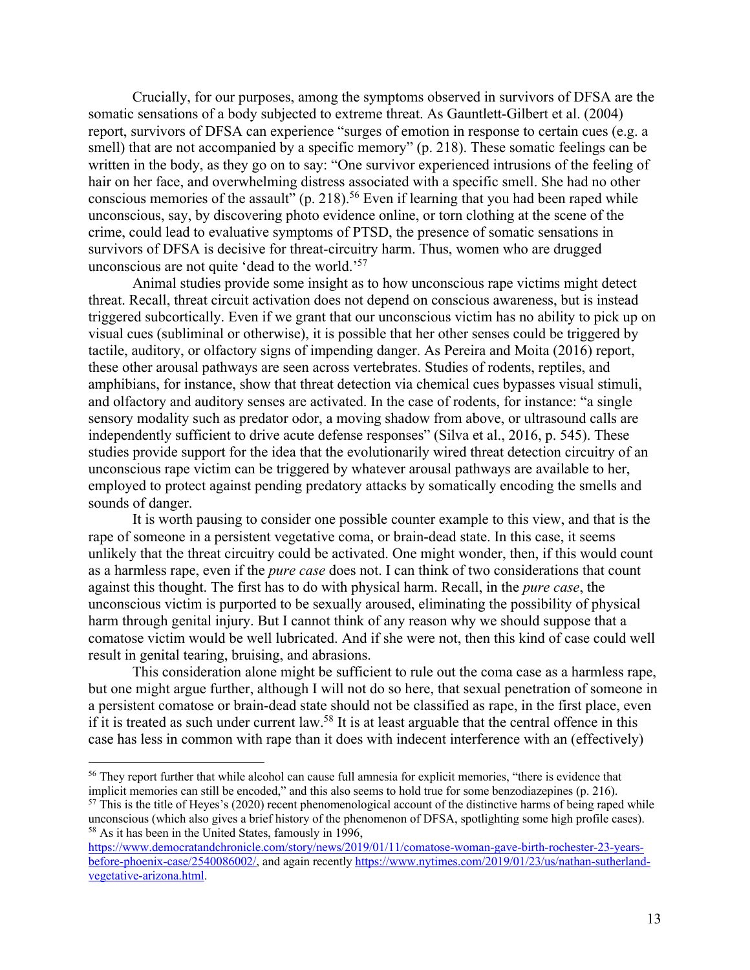Crucially, for our purposes, among the symptoms observed in survivors of DFSA are the somatic sensations of a body subjected to extreme threat. As Gauntlett-Gilbert et al. (2004) report, survivors of DFSA can experience "surges of emotion in response to certain cues (e.g. a smell) that are not accompanied by a specific memory" (p. 218). These somatic feelings can be written in the body, as they go on to say: "One survivor experienced intrusions of the feeling of hair on her face, and overwhelming distress associated with a specific smell. She had no other conscious memories of the assault" (p. 218).<sup>56</sup> Even if learning that you had been raped while unconscious, say, by discovering photo evidence online, or torn clothing at the scene of the crime, could lead to evaluative symptoms of PTSD, the presence of somatic sensations in survivors of DFSA is decisive for threat-circuitry harm. Thus, women who are drugged unconscious are not quite 'dead to the world.'57

Animal studies provide some insight as to how unconscious rape victims might detect threat. Recall, threat circuit activation does not depend on conscious awareness, but is instead triggered subcortically. Even if we grant that our unconscious victim has no ability to pick up on visual cues (subliminal or otherwise), it is possible that her other senses could be triggered by tactile, auditory, or olfactory signs of impending danger. As Pereira and Moita (2016) report, these other arousal pathways are seen across vertebrates. Studies of rodents, reptiles, and amphibians, for instance, show that threat detection via chemical cues bypasses visual stimuli, and olfactory and auditory senses are activated. In the case of rodents, for instance: "a single sensory modality such as predator odor, a moving shadow from above, or ultrasound calls are independently sufficient to drive acute defense responses" (Silva et al., 2016, p. 545). These studies provide support for the idea that the evolutionarily wired threat detection circuitry of an unconscious rape victim can be triggered by whatever arousal pathways are available to her, employed to protect against pending predatory attacks by somatically encoding the smells and sounds of danger.

It is worth pausing to consider one possible counter example to this view, and that is the rape of someone in a persistent vegetative coma, or brain-dead state. In this case, it seems unlikely that the threat circuitry could be activated. One might wonder, then, if this would count as a harmless rape, even if the *pure case* does not. I can think of two considerations that count against this thought. The first has to do with physical harm. Recall, in the *pure case*, the unconscious victim is purported to be sexually aroused, eliminating the possibility of physical harm through genital injury. But I cannot think of any reason why we should suppose that a comatose victim would be well lubricated. And if she were not, then this kind of case could well result in genital tearing, bruising, and abrasions.

This consideration alone might be sufficient to rule out the coma case as a harmless rape, but one might argue further, although I will not do so here, that sexual penetration of someone in a persistent comatose or brain-dead state should not be classified as rape, in the first place, even if it is treated as such under current law.<sup>58</sup> It is at least arguable that the central offence in this case has less in common with rape than it does with indecent interference with an (effectively)

<sup>&</sup>lt;sup>56</sup> They report further that while alcohol can cause full amnesia for explicit memories, "there is evidence that implicit memories can still be encoded," and this also seems to hold true for some benzodiazepines (p. 216).

 $57$  This is the title of Heyes's (2020) recent phenomenological account of the distinctive harms of being raped while unconscious (which also gives a brief history of the phenomenon of DFSA, spotlighting some high profile cases). <sup>58</sup> As it has been in the United States, famously in 1996,

https://www.democratandchronicle.com/story/news/2019/01/11/comatose-woman-gave-birth-rochester-23-yearsbefore-phoenix-case/2540086002/, and again recently https://www.nytimes.com/2019/01/23/us/nathan-sutherlandvegetative-arizona.html.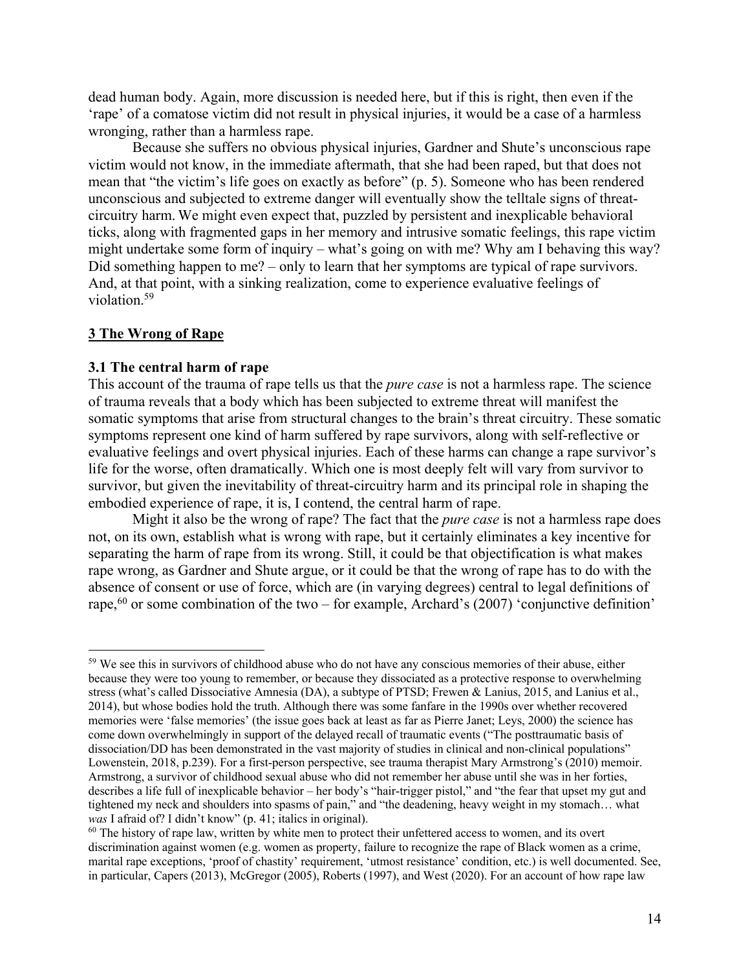dead human body. Again, more discussion is needed here, but if this is right, then even if the 'rape' of a comatose victim did not result in physical injuries, it would be a case of a harmless wronging, rather than a harmless rape.

Because she suffers no obvious physical injuries, Gardner and Shute's unconscious rape victim would not know, in the immediate aftermath, that she had been raped, but that does not mean that "the victim's life goes on exactly as before" (p. 5). Someone who has been rendered unconscious and subjected to extreme danger will eventually show the telltale signs of threatcircuitry harm. We might even expect that, puzzled by persistent and inexplicable behavioral ticks, along with fragmented gaps in her memory and intrusive somatic feelings, this rape victim might undertake some form of inquiry – what's going on with me? Why am I behaving this way? Did something happen to me? – only to learn that her symptoms are typical of rape survivors. And, at that point, with a sinking realization, come to experience evaluative feelings of violation.59

#### **3 The Wrong of Rape**

#### **3.1 The central harm of rape**

This account of the trauma of rape tells us that the *pure case* is not a harmless rape. The science of trauma reveals that a body which has been subjected to extreme threat will manifest the somatic symptoms that arise from structural changes to the brain's threat circuitry. These somatic symptoms represent one kind of harm suffered by rape survivors, along with self-reflective or evaluative feelings and overt physical injuries. Each of these harms can change a rape survivor's life for the worse, often dramatically. Which one is most deeply felt will vary from survivor to survivor, but given the inevitability of threat-circuitry harm and its principal role in shaping the embodied experience of rape, it is, I contend, the central harm of rape.

Might it also be the wrong of rape? The fact that the *pure case* is not a harmless rape does not, on its own, establish what is wrong with rape, but it certainly eliminates a key incentive for separating the harm of rape from its wrong. Still, it could be that objectification is what makes rape wrong, as Gardner and Shute argue, or it could be that the wrong of rape has to do with the absence of consent or use of force, which are (in varying degrees) central to legal definitions of rape,<sup>60</sup> or some combination of the two – for example, Archard's (2007) 'conjunctive definition'

<sup>&</sup>lt;sup>59</sup> We see this in survivors of childhood abuse who do not have any conscious memories of their abuse, either because they were too young to remember, or because they dissociated as a protective response to overwhelming stress (what's called Dissociative Amnesia (DA), a subtype of PTSD; Frewen & Lanius, 2015, and Lanius et al., 2014), but whose bodies hold the truth. Although there was some fanfare in the 1990s over whether recovered memories were 'false memories' (the issue goes back at least as far as Pierre Janet; Leys, 2000) the science has come down overwhelmingly in support of the delayed recall of traumatic events ("The posttraumatic basis of dissociation/DD has been demonstrated in the vast majority of studies in clinical and non-clinical populations" Lowenstein, 2018, p.239). For a first-person perspective, see trauma therapist Mary Armstrong's (2010) memoir. Armstrong, a survivor of childhood sexual abuse who did not remember her abuse until she was in her forties, describes a life full of inexplicable behavior – her body's "hair-trigger pistol," and "the fear that upset my gut and tightened my neck and shoulders into spasms of pain," and "the deadening, heavy weight in my stomach… what *was* I afraid of? I didn't know" (p. 41; italics in original).<br><sup>60</sup> The history of rape law, written by white men to protect their unfettered access to women, and its overt

discrimination against women (e.g. women as property, failure to recognize the rape of Black women as a crime, marital rape exceptions, 'proof of chastity' requirement, 'utmost resistance' condition, etc.) is well documented. See, in particular, Capers (2013), McGregor (2005), Roberts (1997), and West (2020). For an account of how rape law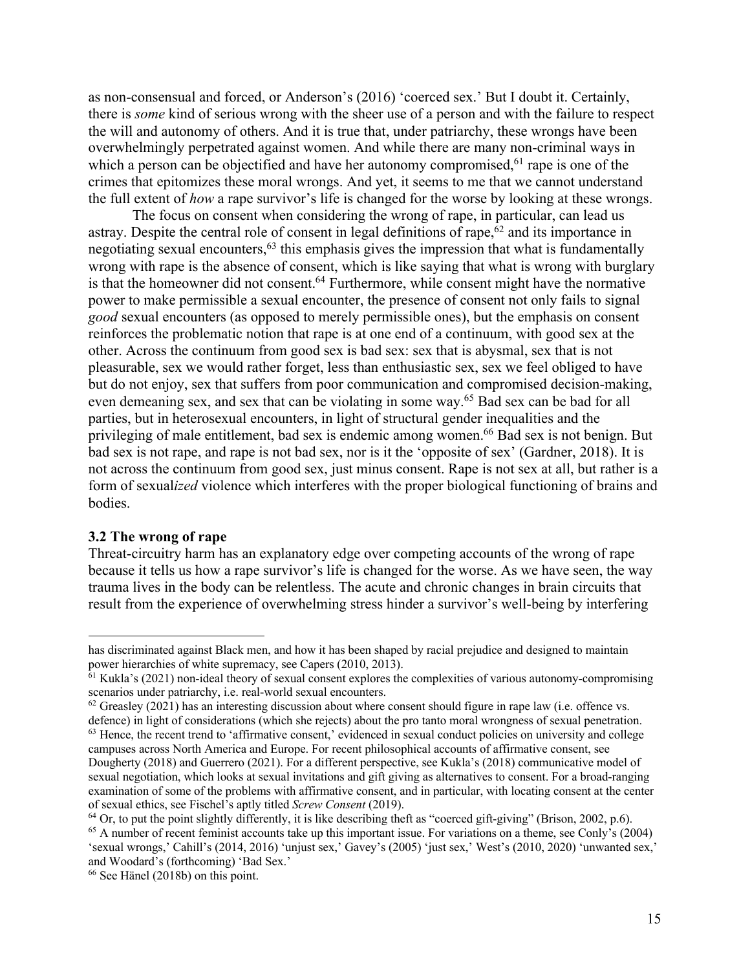as non-consensual and forced, or Anderson's (2016) 'coerced sex.' But I doubt it. Certainly, there is *some* kind of serious wrong with the sheer use of a person and with the failure to respect the will and autonomy of others. And it is true that, under patriarchy, these wrongs have been overwhelmingly perpetrated against women. And while there are many non-criminal ways in which a person can be objectified and have her autonomy compromised, <sup>61</sup> rape is one of the crimes that epitomizes these moral wrongs. And yet, it seems to me that we cannot understand the full extent of *how* a rape survivor's life is changed for the worse by looking at these wrongs.

The focus on consent when considering the wrong of rape, in particular, can lead us astray. Despite the central role of consent in legal definitions of rape,<sup>62</sup> and its importance in negotiating sexual encounters,<sup>63</sup> this emphasis gives the impression that what is fundamentally wrong with rape is the absence of consent, which is like saying that what is wrong with burglary is that the homeowner did not consent.<sup>64</sup> Furthermore, while consent might have the normative power to make permissible a sexual encounter, the presence of consent not only fails to signal *good* sexual encounters (as opposed to merely permissible ones), but the emphasis on consent reinforces the problematic notion that rape is at one end of a continuum, with good sex at the other. Across the continuum from good sex is bad sex: sex that is abysmal, sex that is not pleasurable, sex we would rather forget, less than enthusiastic sex, sex we feel obliged to have but do not enjoy, sex that suffers from poor communication and compromised decision-making, even demeaning sex, and sex that can be violating in some way.<sup>65</sup> Bad sex can be bad for all parties, but in heterosexual encounters, in light of structural gender inequalities and the privileging of male entitlement, bad sex is endemic among women. <sup>66</sup> Bad sex is not benign. But bad sex is not rape, and rape is not bad sex, nor is it the 'opposite of sex' (Gardner, 2018). It is not across the continuum from good sex, just minus consent. Rape is not sex at all, but rather is a form of sexual*ized* violence which interferes with the proper biological functioning of brains and bodies.

#### **3.2 The wrong of rape**

Threat-circuitry harm has an explanatory edge over competing accounts of the wrong of rape because it tells us how a rape survivor's life is changed for the worse. As we have seen, the way trauma lives in the body can be relentless. The acute and chronic changes in brain circuits that result from the experience of overwhelming stress hinder a survivor's well-being by interfering

has discriminated against Black men, and how it has been shaped by racial prejudice and designed to maintain power hierarchies of white supremacy, see Capers (2010, 2013).

 $61$  Kukla's (2021) non-ideal theory of sexual consent explores the complexities of various autonomy-compromising scenarios under patriarchy, i.e. real-world sexual encounters.

 $62$  Greasley (2021) has an interesting discussion about where consent should figure in rape law (i.e. offence vs. defence) in light of considerations (which she rejects) about the pro tanto moral wrongness of sexual penetration.

<sup>&</sup>lt;sup>63</sup> Hence, the recent trend to 'affirmative consent,' evidenced in sexual conduct policies on university and college campuses across North America and Europe. For recent philosophical accounts of affirmative consent, see Dougherty (2018) and Guerrero (2021). For a different perspective, see Kukla's (2018) communicative model of sexual negotiation, which looks at sexual invitations and gift giving as alternatives to consent. For a broad-ranging examination of some of the problems with affirmative consent, and in particular, with locating consent at the center

of sexual ethics, see Fischel's aptly titled *Screw Consent* (2019).

 $<sup>65</sup>$  A number of recent feminist accounts take up this important issue. For variations on a theme, see Conly's (2004)</sup> 'sexual wrongs,' Cahill's (2014, 2016) 'unjust sex,' Gavey's (2005) 'just sex,' West's (2010, 2020) 'unwanted sex,' and Woodard's (forthcoming) 'Bad Sex.'

<sup>66</sup> See Hänel (2018b) on this point.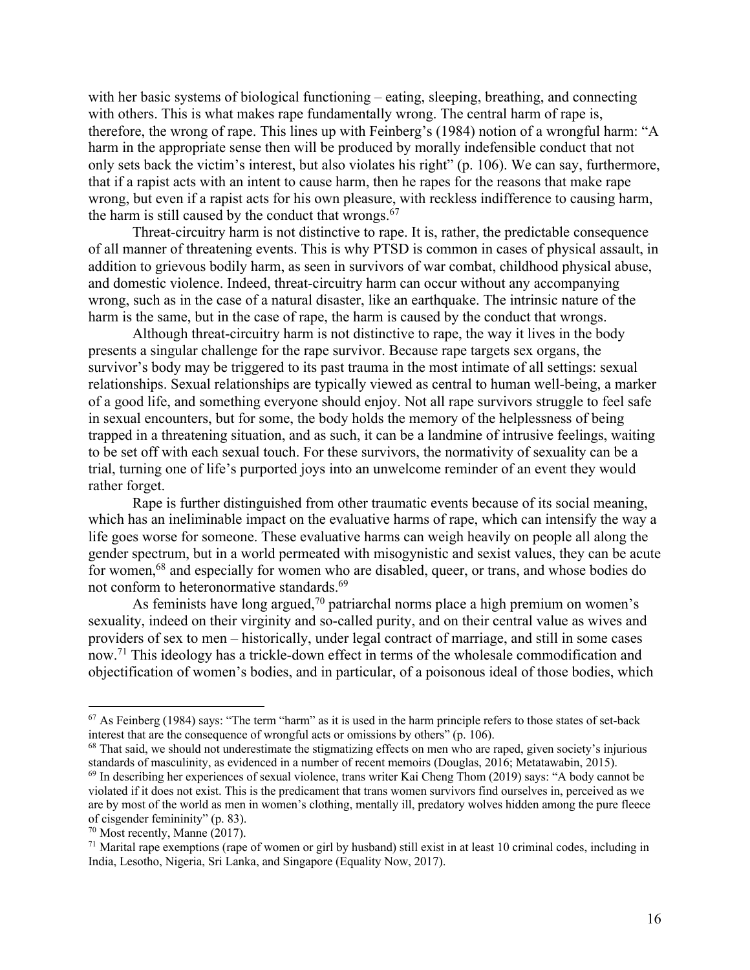with her basic systems of biological functioning – eating, sleeping, breathing, and connecting with others. This is what makes rape fundamentally wrong. The central harm of rape is, therefore, the wrong of rape. This lines up with Feinberg's (1984) notion of a wrongful harm: "A harm in the appropriate sense then will be produced by morally indefensible conduct that not only sets back the victim's interest, but also violates his right" (p. 106). We can say, furthermore, that if a rapist acts with an intent to cause harm, then he rapes for the reasons that make rape wrong, but even if a rapist acts for his own pleasure, with reckless indifference to causing harm, the harm is still caused by the conduct that wrongs.<sup>67</sup>

Threat-circuitry harm is not distinctive to rape. It is, rather, the predictable consequence of all manner of threatening events. This is why PTSD is common in cases of physical assault, in addition to grievous bodily harm, as seen in survivors of war combat, childhood physical abuse, and domestic violence. Indeed, threat-circuitry harm can occur without any accompanying wrong, such as in the case of a natural disaster, like an earthquake. The intrinsic nature of the harm is the same, but in the case of rape, the harm is caused by the conduct that wrongs.

Although threat-circuitry harm is not distinctive to rape, the way it lives in the body presents a singular challenge for the rape survivor. Because rape targets sex organs, the survivor's body may be triggered to its past trauma in the most intimate of all settings: sexual relationships. Sexual relationships are typically viewed as central to human well-being, a marker of a good life, and something everyone should enjoy. Not all rape survivors struggle to feel safe in sexual encounters, but for some, the body holds the memory of the helplessness of being trapped in a threatening situation, and as such, it can be a landmine of intrusive feelings, waiting to be set off with each sexual touch. For these survivors, the normativity of sexuality can be a trial, turning one of life's purported joys into an unwelcome reminder of an event they would rather forget.

Rape is further distinguished from other traumatic events because of its social meaning, which has an ineliminable impact on the evaluative harms of rape, which can intensify the way a life goes worse for someone. These evaluative harms can weigh heavily on people all along the gender spectrum, but in a world permeated with misogynistic and sexist values, they can be acute for women,<sup>68</sup> and especially for women who are disabled, queer, or trans, and whose bodies do not conform to heteronormative standards.<sup>69</sup>

As feminists have long argued,<sup>70</sup> patriarchal norms place a high premium on women's sexuality, indeed on their virginity and so-called purity, and on their central value as wives and providers of sex to men – historically, under legal contract of marriage, and still in some cases now.71 This ideology has a trickle-down effect in terms of the wholesale commodification and objectification of women's bodies, and in particular, of a poisonous ideal of those bodies, which

 $<sup>67</sup>$  As Feinberg (1984) says: "The term "harm" as it is used in the harm principle refers to those states of set-back</sup> interest that are the consequence of wrongful acts or omissions by others" (p. 106).

 $68$  That said, we should not underestimate the stigmatizing effects on men who are raped, given society's injurious standards of masculinity, as evidenced in a number of recent memoirs (Douglas, 2016; Metatawabin, 2015).

<sup>69</sup> In describing her experiences of sexual violence, trans writer Kai Cheng Thom (2019) says: "A body cannot be violated if it does not exist. This is the predicament that trans women survivors find ourselves in, perceived as we are by most of the world as men in women's clothing, mentally ill, predatory wolves hidden among the pure fleece of cisgender femininity" (p. 83).

<sup>70</sup> Most recently, Manne (2017).

 $71$  Marital rape exemptions (rape of women or girl by husband) still exist in at least 10 criminal codes, including in India, Lesotho, Nigeria, Sri Lanka, and Singapore (Equality Now, 2017).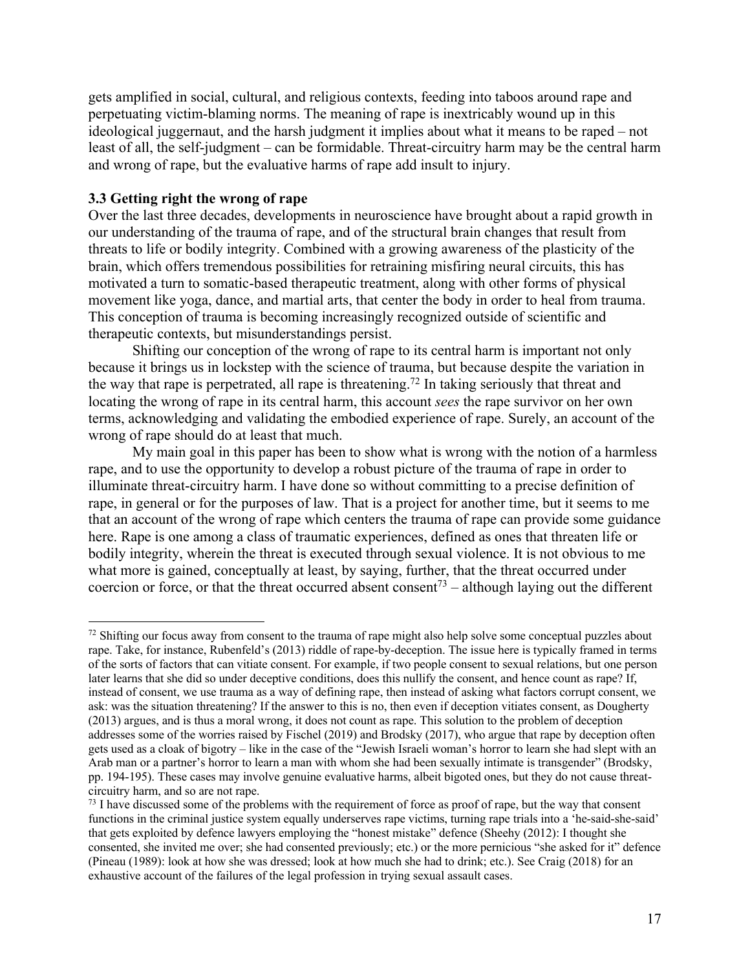gets amplified in social, cultural, and religious contexts, feeding into taboos around rape and perpetuating victim-blaming norms. The meaning of rape is inextricably wound up in this ideological juggernaut, and the harsh judgment it implies about what it means to be raped – not least of all, the self-judgment – can be formidable. Threat-circuitry harm may be the central harm and wrong of rape, but the evaluative harms of rape add insult to injury.

## **3.3 Getting right the wrong of rape**

Over the last three decades, developments in neuroscience have brought about a rapid growth in our understanding of the trauma of rape, and of the structural brain changes that result from threats to life or bodily integrity. Combined with a growing awareness of the plasticity of the brain, which offers tremendous possibilities for retraining misfiring neural circuits, this has motivated a turn to somatic-based therapeutic treatment, along with other forms of physical movement like yoga, dance, and martial arts, that center the body in order to heal from trauma. This conception of trauma is becoming increasingly recognized outside of scientific and therapeutic contexts, but misunderstandings persist.

Shifting our conception of the wrong of rape to its central harm is important not only because it brings us in lockstep with the science of trauma, but because despite the variation in the way that rape is perpetrated, all rape is threatening. <sup>72</sup> In taking seriously that threat and locating the wrong of rape in its central harm, this account *sees* the rape survivor on her own terms, acknowledging and validating the embodied experience of rape. Surely, an account of the wrong of rape should do at least that much.

My main goal in this paper has been to show what is wrong with the notion of a harmless rape, and to use the opportunity to develop a robust picture of the trauma of rape in order to illuminate threat-circuitry harm. I have done so without committing to a precise definition of rape, in general or for the purposes of law. That is a project for another time, but it seems to me that an account of the wrong of rape which centers the trauma of rape can provide some guidance here. Rape is one among a class of traumatic experiences, defined as ones that threaten life or bodily integrity, wherein the threat is executed through sexual violence. It is not obvious to me what more is gained, conceptually at least, by saying, further, that the threat occurred under coercion or force, or that the threat occurred absent consent<sup>73</sup> – although laying out the different

<sup>&</sup>lt;sup>72</sup> Shifting our focus away from consent to the trauma of rape might also help solve some conceptual puzzles about rape. Take, for instance, Rubenfeld's (2013) riddle of rape-by-deception. The issue here is typically framed in terms of the sorts of factors that can vitiate consent. For example, if two people consent to sexual relations, but one person later learns that she did so under deceptive conditions, does this nullify the consent, and hence count as rape? If, instead of consent, we use trauma as a way of defining rape, then instead of asking what factors corrupt consent, we ask: was the situation threatening? If the answer to this is no, then even if deception vitiates consent, as Dougherty (2013) argues, and is thus a moral wrong, it does not count as rape. This solution to the problem of deception addresses some of the worries raised by Fischel (2019) and Brodsky (2017), who argue that rape by deception often gets used as a cloak of bigotry – like in the case of the "Jewish Israeli woman's horror to learn she had slept with an Arab man or a partner's horror to learn a man with whom she had been sexually intimate is transgender" (Brodsky, pp. 194-195). These cases may involve genuine evaluative harms, albeit bigoted ones, but they do not cause threatcircuitry harm, and so are not rape.

<sup>&</sup>lt;sup>73</sup> I have discussed some of the problems with the requirement of force as proof of rape, but the way that consent functions in the criminal justice system equally underserves rape victims, turning rape trials into a 'he-said-she-said' that gets exploited by defence lawyers employing the "honest mistake" defence (Sheehy (2012): I thought she consented, she invited me over; she had consented previously; etc.) or the more pernicious "she asked for it" defence (Pineau (1989): look at how she was dressed; look at how much she had to drink; etc.). See Craig (2018) for an exhaustive account of the failures of the legal profession in trying sexual assault cases.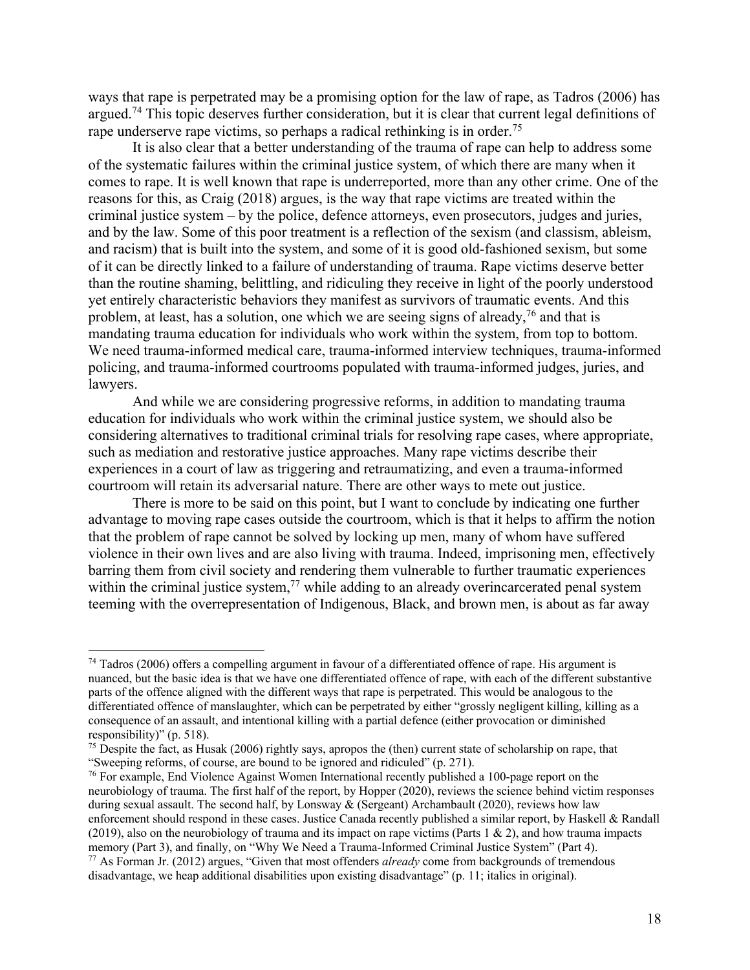ways that rape is perpetrated may be a promising option for the law of rape, as Tadros (2006) has argued.<sup>74</sup> This topic deserves further consideration, but it is clear that current legal definitions of rape underserve rape victims, so perhaps a radical rethinking is in order.<sup>75</sup>

It is also clear that a better understanding of the trauma of rape can help to address some of the systematic failures within the criminal justice system, of which there are many when it comes to rape. It is well known that rape is underreported, more than any other crime. One of the reasons for this, as Craig (2018) argues, is the way that rape victims are treated within the criminal justice system – by the police, defence attorneys, even prosecutors, judges and juries, and by the law. Some of this poor treatment is a reflection of the sexism (and classism, ableism, and racism) that is built into the system, and some of it is good old-fashioned sexism, but some of it can be directly linked to a failure of understanding of trauma. Rape victims deserve better than the routine shaming, belittling, and ridiculing they receive in light of the poorly understood yet entirely characteristic behaviors they manifest as survivors of traumatic events. And this problem, at least, has a solution, one which we are seeing signs of already,<sup>76</sup> and that is mandating trauma education for individuals who work within the system, from top to bottom. We need trauma-informed medical care, trauma-informed interview techniques, trauma-informed policing, and trauma-informed courtrooms populated with trauma-informed judges, juries, and lawyers.

And while we are considering progressive reforms, in addition to mandating trauma education for individuals who work within the criminal justice system, we should also be considering alternatives to traditional criminal trials for resolving rape cases, where appropriate, such as mediation and restorative justice approaches. Many rape victims describe their experiences in a court of law as triggering and retraumatizing, and even a trauma-informed courtroom will retain its adversarial nature. There are other ways to mete out justice.

There is more to be said on this point, but I want to conclude by indicating one further advantage to moving rape cases outside the courtroom, which is that it helps to affirm the notion that the problem of rape cannot be solved by locking up men, many of whom have suffered violence in their own lives and are also living with trauma. Indeed, imprisoning men, effectively barring them from civil society and rendering them vulnerable to further traumatic experiences within the criminal justice system, $77$  while adding to an already overincarcerated penal system teeming with the overrepresentation of Indigenous, Black, and brown men, is about as far away

 $74$  Tadros (2006) offers a compelling argument in favour of a differentiated offence of rape. His argument is nuanced, but the basic idea is that we have one differentiated offence of rape, with each of the different substantive parts of the offence aligned with the different ways that rape is perpetrated. This would be analogous to the differentiated offence of manslaughter, which can be perpetrated by either "grossly negligent killing, killing as a consequence of an assault, and intentional killing with a partial defence (either provocation or diminished responsibility)" (p. 518).

 $<sup>75</sup>$  Despite the fact, as Husak (2006) rightly says, apropos the (then) current state of scholarship on rape, that</sup> "Sweeping reforms, of course, are bound to be ignored and ridiculed" (p. 271).

<sup>&</sup>lt;sup>76</sup> For example, End Violence Against Women International recently published a 100-page report on the neurobiology of trauma. The first half of the report, by Hopper (2020), reviews the science behind victim responses during sexual assault. The second half, by Lonsway & (Sergeant) Archambault (2020), reviews how law enforcement should respond in these cases. Justice Canada recently published a similar report, by Haskell & Randall (2019), also on the neurobiology of trauma and its impact on rape victims (Parts 1 & 2), and how trauma impacts memory (Part 3), and finally, on "Why We Need a Trauma-Informed Criminal Justice System" (Part 4). <sup>77</sup> As Forman Jr. (2012) argues, "Given that most offenders *already* come from backgrounds of tremendous disadvantage, we heap additional disabilities upon existing disadvantage" (p. 11; italics in original).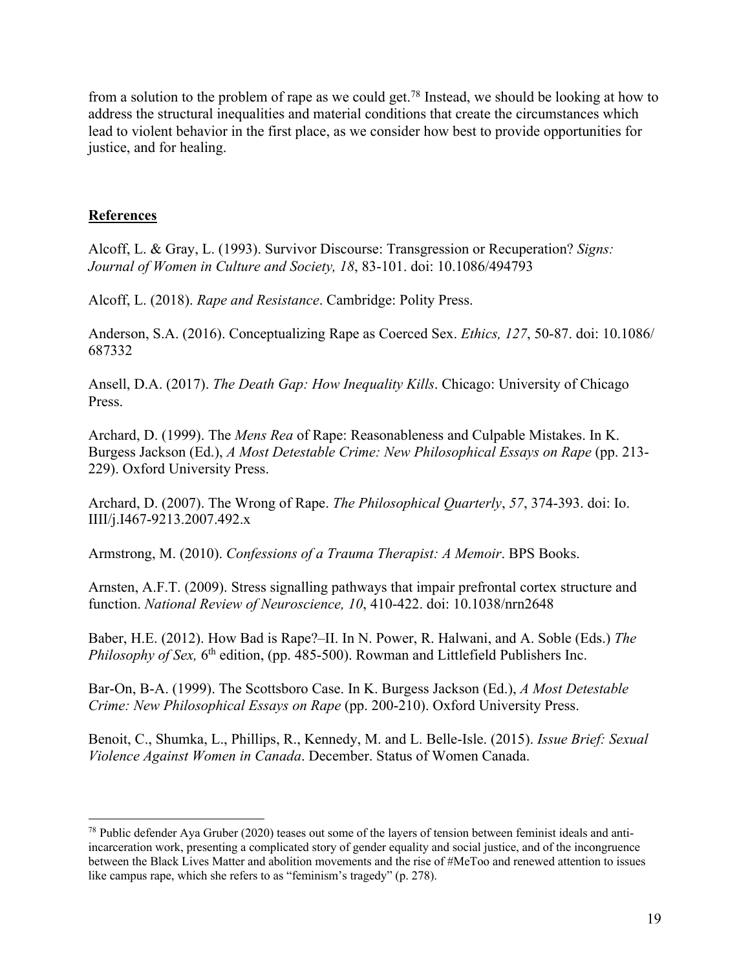from a solution to the problem of rape as we could get.78 Instead, we should be looking at how to address the structural inequalities and material conditions that create the circumstances which lead to violent behavior in the first place, as we consider how best to provide opportunities for justice, and for healing.

## **References**

Alcoff, L. & Gray, L. (1993). Survivor Discourse: Transgression or Recuperation? *Signs: Journal of Women in Culture and Society, 18*, 83-101. doi: 10.1086/494793

Alcoff, L. (2018). *Rape and Resistance*. Cambridge: Polity Press.

Anderson, S.A. (2016). Conceptualizing Rape as Coerced Sex. *Ethics, 127*, 50-87. doi: 10.1086/ 687332

Ansell, D.A. (2017). *The Death Gap: How Inequality Kills*. Chicago: University of Chicago Press.

Archard, D. (1999). The *Mens Rea* of Rape: Reasonableness and Culpable Mistakes. In K. Burgess Jackson (Ed.), *A Most Detestable Crime: New Philosophical Essays on Rape* (pp. 213- 229). Oxford University Press.

Archard, D. (2007). The Wrong of Rape. *The Philosophical Quarterly*, *57*, 374-393. doi: Io. IIII/j.I467-9213.2007.492.x

Armstrong, M. (2010). *Confessions of a Trauma Therapist: A Memoir*. BPS Books.

Arnsten, A.F.T. (2009). Stress signalling pathways that impair prefrontal cortex structure and function. *National Review of Neuroscience, 10*, 410-422. doi: 10.1038/nrn2648

Baber, H.E. (2012). How Bad is Rape?–II. In N. Power, R. Halwani, and A. Soble (Eds.) *The Philosophy of Sex,* 6<sup>th</sup> edition, (pp. 485-500). Rowman and Littlefield Publishers Inc.

Bar-On, B-A. (1999). The Scottsboro Case. In K. Burgess Jackson (Ed.), *A Most Detestable Crime: New Philosophical Essays on Rape* (pp. 200-210). Oxford University Press.

Benoit, C., Shumka, L., Phillips, R., Kennedy, M. and L. Belle-Isle. (2015). *Issue Brief: Sexual Violence Against Women in Canada*. December. Status of Women Canada.

<sup>78</sup> Public defender Aya Gruber (2020) teases out some of the layers of tension between feminist ideals and antiincarceration work, presenting a complicated story of gender equality and social justice, and of the incongruence between the Black Lives Matter and abolition movements and the rise of #MeToo and renewed attention to issues like campus rape, which she refers to as "feminism's tragedy" (p. 278).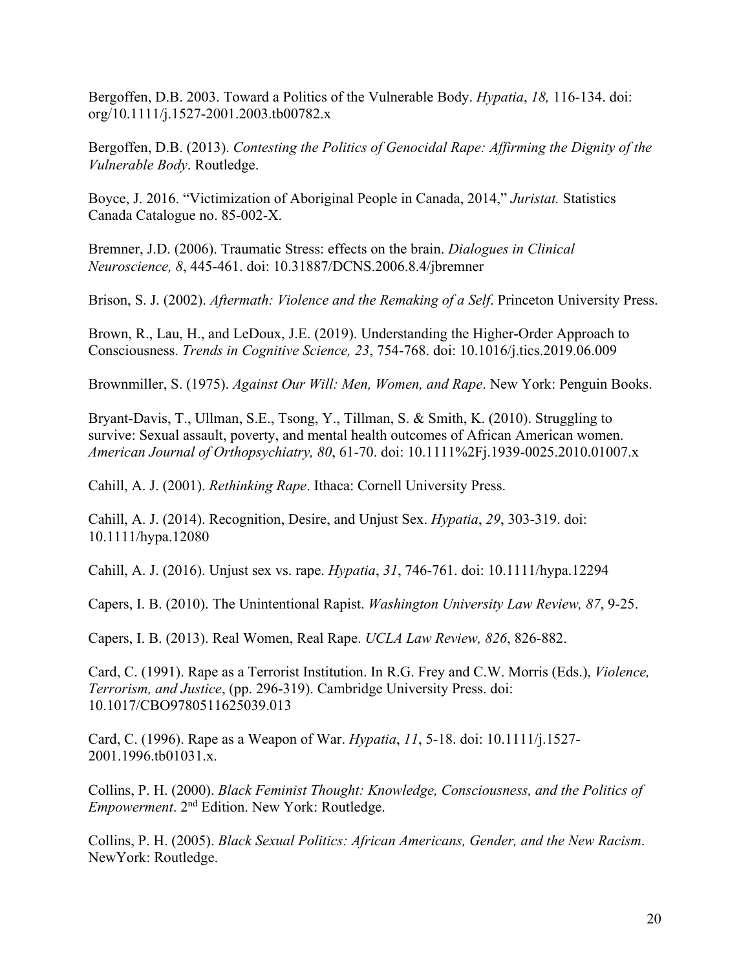Bergoffen, D.B. 2003. Toward a Politics of the Vulnerable Body. *Hypatia*, *18,* 116-134. doi: org/10.1111/j.1527-2001.2003.tb00782.x

Bergoffen, D.B. (2013). *Contesting the Politics of Genocidal Rape: Affirming the Dignity of the Vulnerable Body*. Routledge.

Boyce, J. 2016. "Victimization of Aboriginal People in Canada, 2014," *Juristat.* Statistics Canada Catalogue no. 85-002-X.

Bremner, J.D. (2006). Traumatic Stress: effects on the brain. *Dialogues in Clinical Neuroscience, 8*, 445-461. doi: 10.31887/DCNS.2006.8.4/jbremner

Brison, S. J. (2002). *Aftermath: Violence and the Remaking of a Self*. Princeton University Press.

Brown, R., Lau, H., and LeDoux, J.E. (2019). Understanding the Higher-Order Approach to Consciousness. *Trends in Cognitive Science, 23*, 754-768. doi: 10.1016/j.tics.2019.06.009

Brownmiller, S. (1975). *Against Our Will: Men, Women, and Rape*. New York: Penguin Books.

Bryant-Davis, T., Ullman, S.E., Tsong, Y., Tillman, S. & Smith, K. (2010). Struggling to survive: Sexual assault, poverty, and mental health outcomes of African American women. *American Journal of Orthopsychiatry, 80*, 61-70. doi: 10.1111%2Fj.1939-0025.2010.01007.x

Cahill, A. J. (2001). *Rethinking Rape*. Ithaca: Cornell University Press.

Cahill, A. J. (2014). Recognition, Desire, and Unjust Sex. *Hypatia*, *29*, 303-319. doi: 10.1111/hypa.12080

Cahill, A. J. (2016). Unjust sex vs. rape. *Hypatia*, *31*, 746-761. doi: 10.1111/hypa.12294

Capers, I. B. (2010). The Unintentional Rapist. *Washington University Law Review, 87*, 9-25.

Capers, I. B. (2013). Real Women, Real Rape. *UCLA Law Review, 826*, 826-882.

Card, C. (1991). Rape as a Terrorist Institution. In R.G. Frey and C.W. Morris (Eds.), *Violence, Terrorism, and Justice*, (pp. 296-319). Cambridge University Press. doi: 10.1017/CBO9780511625039.013

Card, C. (1996). Rape as a Weapon of War. *Hypatia*, *11*, 5-18. doi: 10.1111/j.1527- 2001.1996.tb01031.x.

Collins, P. H. (2000). *Black Feminist Thought: Knowledge, Consciousness, and the Politics of Empowerment*. 2nd Edition. New York: Routledge.

Collins, P. H. (2005). *Black Sexual Politics: African Americans, Gender, and the New Racism*. NewYork: Routledge.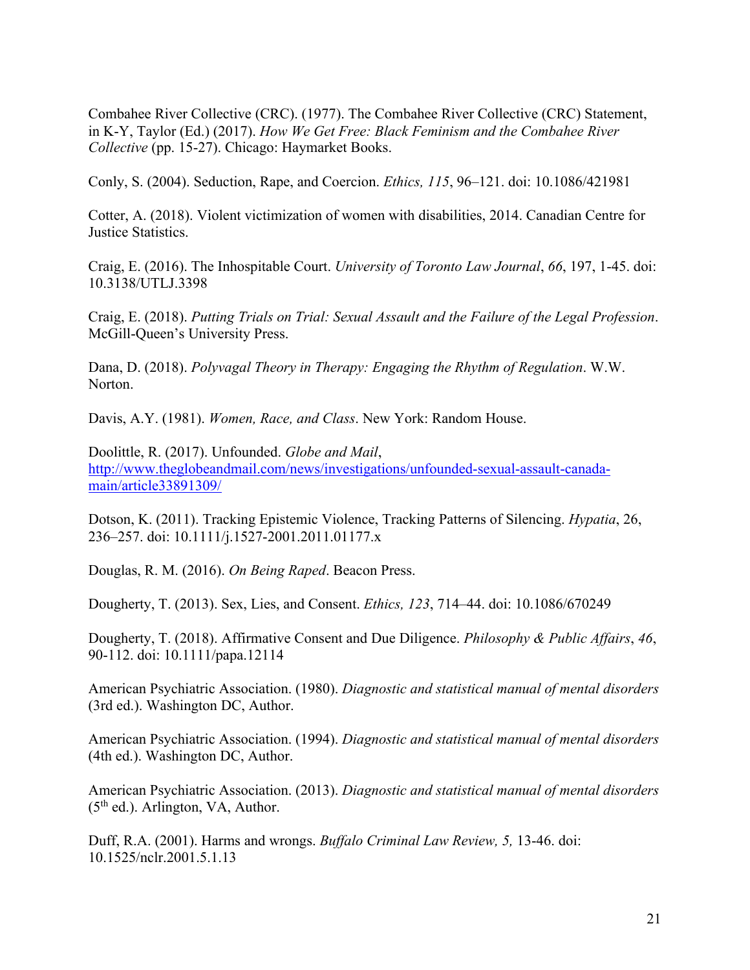Combahee River Collective (CRC). (1977). The Combahee River Collective (CRC) Statement, in K-Y, Taylor (Ed.) (2017). *How We Get Free: Black Feminism and the Combahee River Collective* (pp. 15-27). Chicago: Haymarket Books.

Conly, S. (2004). Seduction, Rape, and Coercion. *Ethics, 115*, 96–121. doi: 10.1086/421981

Cotter, A. (2018). Violent victimization of women with disabilities, 2014. Canadian Centre for Justice Statistics.

Craig, E. (2016). The Inhospitable Court. *University of Toronto Law Journal*, *66*, 197, 1-45. doi: 10.3138/UTLJ.3398

Craig, E. (2018). *Putting Trials on Trial: Sexual Assault and the Failure of the Legal Profession*. McGill-Queen's University Press.

Dana, D. (2018). *Polyvagal Theory in Therapy: Engaging the Rhythm of Regulation*. W.W. Norton.

Davis, A.Y. (1981). *Women, Race, and Class*. New York: Random House.

Doolittle, R. (2017). Unfounded. *Globe and Mail*, http://www.theglobeandmail.com/news/investigations/unfounded-sexual-assault-canadamain/article33891309/

Dotson, K. (2011). Tracking Epistemic Violence, Tracking Patterns of Silencing. *Hypatia*, 26, 236–257. doi: 10.1111/j.1527-2001.2011.01177.x

Douglas, R. M. (2016). *On Being Raped*. Beacon Press.

Dougherty, T. (2013). Sex, Lies, and Consent. *Ethics, 123*, 714–44. doi: 10.1086/670249

Dougherty, T. (2018). Affirmative Consent and Due Diligence. *Philosophy & Public Affairs*, *46*, 90-112. doi: 10.1111/papa.12114

American Psychiatric Association. (1980). *Diagnostic and statistical manual of mental disorders* (3rd ed.). Washington DC, Author.

American Psychiatric Association. (1994). *Diagnostic and statistical manual of mental disorders* (4th ed.). Washington DC, Author.

American Psychiatric Association. (2013). *Diagnostic and statistical manual of mental disorders*   $(5<sup>th</sup>$  ed.). Arlington, VA, Author.

Duff, R.A. (2001). Harms and wrongs. *Buffalo Criminal Law Review, 5,* 13-46. doi: 10.1525/nclr.2001.5.1.13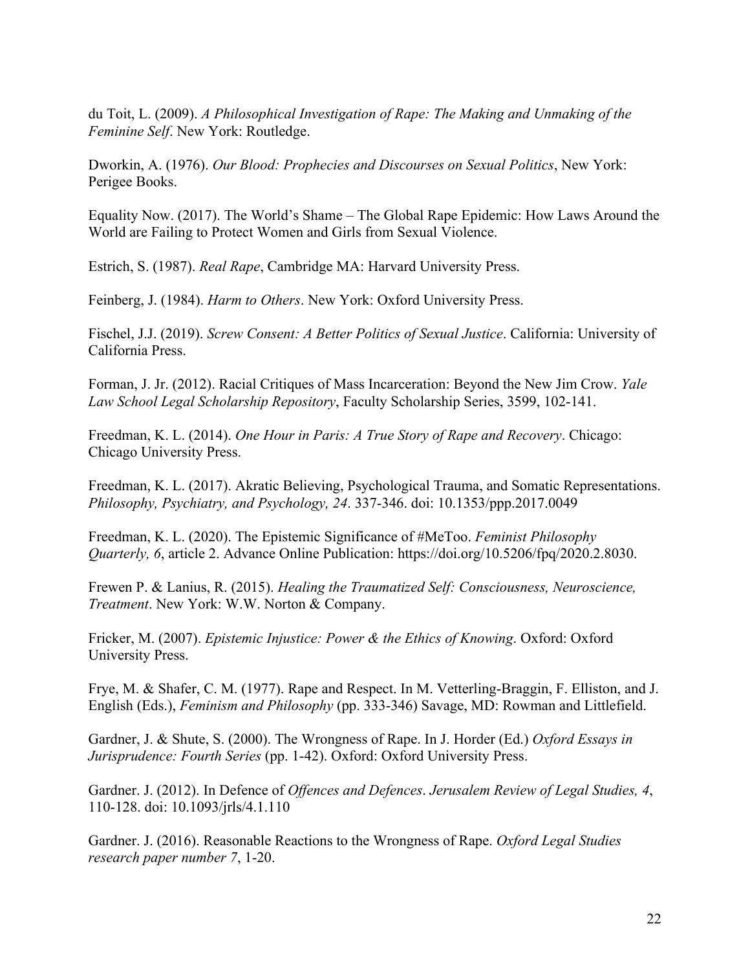du Toit, L. (2009). *A Philosophical Investigation of Rape: The Making and Unmaking of the Feminine Self*. New York: Routledge.

Dworkin, A. (1976). *Our Blood: Prophecies and Discourses on Sexual Politics*, New York: Perigee Books.

Equality Now. (2017). The World's Shame – The Global Rape Epidemic: How Laws Around the World are Failing to Protect Women and Girls from Sexual Violence.

Estrich, S. (1987). *Real Rape*, Cambridge MA: Harvard University Press.

Feinberg, J. (1984). *Harm to Others*. New York: Oxford University Press.

Fischel, J.J. (2019). *Screw Consent: A Better Politics of Sexual Justice*. California: University of California Press.

Forman, J. Jr. (2012). Racial Critiques of Mass Incarceration: Beyond the New Jim Crow. *Yale Law School Legal Scholarship Repository*, Faculty Scholarship Series, 3599, 102-141.

Freedman, K. L. (2014). *One Hour in Paris: A True Story of Rape and Recovery*. Chicago: Chicago University Press.

Freedman, K. L. (2017). Akratic Believing, Psychological Trauma, and Somatic Representations. *Philosophy, Psychiatry, and Psychology, 24*. 337-346. doi: 10.1353/ppp.2017.0049

Freedman, K. L. (2020). The Epistemic Significance of #MeToo. *Feminist Philosophy Quarterly, 6*, article 2. Advance Online Publication: https://doi.org/10.5206/fpq/2020.2.8030.

Frewen P. & Lanius, R. (2015). *Healing the Traumatized Self: Consciousness, Neuroscience, Treatment*. New York: W.W. Norton & Company.

Fricker, M. (2007). *Epistemic Injustice: Power & the Ethics of Knowing*. Oxford: Oxford University Press.

Frye, M. & Shafer, C. M. (1977). Rape and Respect. In M. Vetterling-Braggin, F. Elliston, and J. English (Eds.), *Feminism and Philosophy* (pp. 333-346) Savage, MD: Rowman and Littlefield.

Gardner, J. & Shute, S. (2000). The Wrongness of Rape. In J. Horder (Ed.) *Oxford Essays in Jurisprudence: Fourth Series* (pp. 1-42). Oxford: Oxford University Press.

Gardner. J. (2012). In Defence of *Offences and Defences*. *Jerusalem Review of Legal Studies, 4*, 110-128. doi: 10.1093/jrls/4.1.110

Gardner. J. (2016). Reasonable Reactions to the Wrongness of Rape. *Oxford Legal Studies research paper number 7*, 1-20.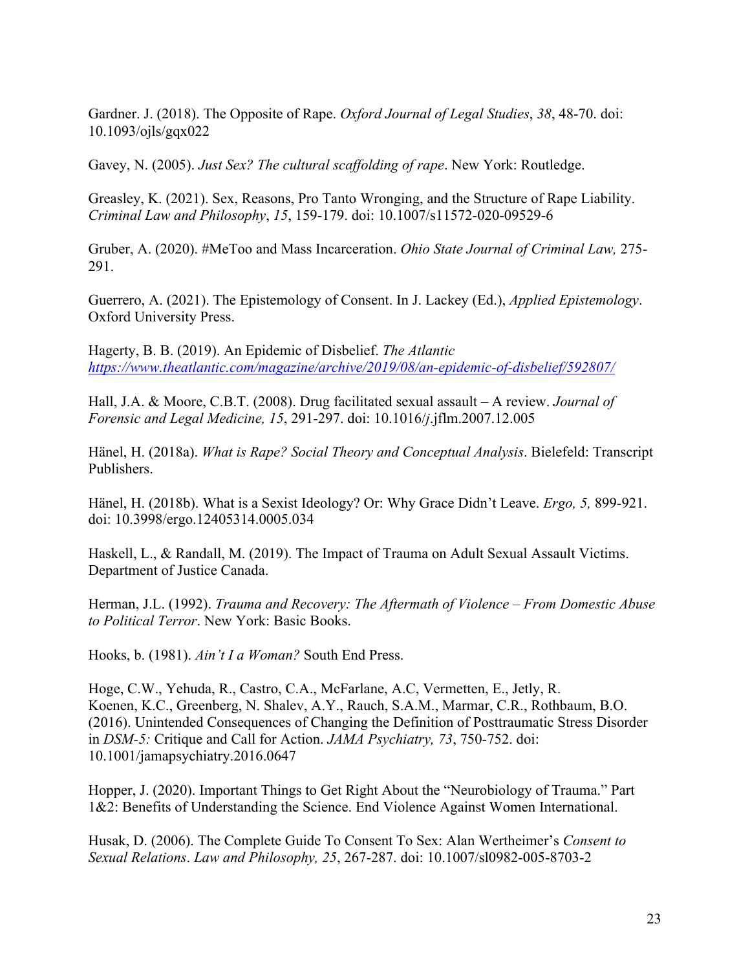Gardner. J. (2018). The Opposite of Rape. *Oxford Journal of Legal Studies*, *38*, 48-70. doi: 10.1093/ojls/gqx022

Gavey, N. (2005). *Just Sex? The cultural scaffolding of rape*. New York: Routledge.

Greasley, K. (2021). Sex, Reasons, Pro Tanto Wronging, and the Structure of Rape Liability. *Criminal Law and Philosophy*, *15*, 159-179. doi: 10.1007/s11572-020-09529-6

Gruber, A. (2020). #MeToo and Mass Incarceration. *Ohio State Journal of Criminal Law,* 275- 291.

Guerrero, A. (2021). The Epistemology of Consent. In J. Lackey (Ed.), *Applied Epistemology*. Oxford University Press.

Hagerty, B. B. (2019). An Epidemic of Disbelief. *The Atlantic https://www.theatlantic.com/magazine/archive/2019/08/an-epidemic-of-disbelief/592807/*

Hall, J.A. & Moore, C.B.T. (2008). Drug facilitated sexual assault – A review. *Journal of Forensic and Legal Medicine, 15*, 291-297. doi: 10.1016/*j*.jflm.2007.12.005

Hänel, H. (2018a). *What is Rape? Social Theory and Conceptual Analysis*. Bielefeld: Transcript Publishers.

Hänel, H. (2018b). What is a Sexist Ideology? Or: Why Grace Didn't Leave. *Ergo, 5,* 899-921. doi: 10.3998/ergo.12405314.0005.034

Haskell, L., & Randall, M. (2019). The Impact of Trauma on Adult Sexual Assault Victims. Department of Justice Canada.

Herman, J.L. (1992). *Trauma and Recovery: The Aftermath of Violence – From Domestic Abuse to Political Terror*. New York: Basic Books.

Hooks, b. (1981). *Ain't I a Woman?* South End Press.

Hoge, C.W., Yehuda, R., Castro, C.A., McFarlane, A.C, Vermetten, E., Jetly, R. Koenen, K.C., Greenberg, N. Shalev, A.Y., Rauch, S.A.M., Marmar, C.R., Rothbaum, B.O. (2016). Unintended Consequences of Changing the Definition of Posttraumatic Stress Disorder in *DSM-5:* Critique and Call for Action. *JAMA Psychiatry, 73*, 750-752. doi: 10.1001/jamapsychiatry.2016.0647

Hopper, J. (2020). Important Things to Get Right About the "Neurobiology of Trauma." Part 1&2: Benefits of Understanding the Science. End Violence Against Women International.

Husak, D. (2006). The Complete Guide To Consent To Sex: Alan Wertheimer's *Consent to Sexual Relations*. *Law and Philosophy, 25*, 267-287. doi: 10.1007/sl0982-005-8703-2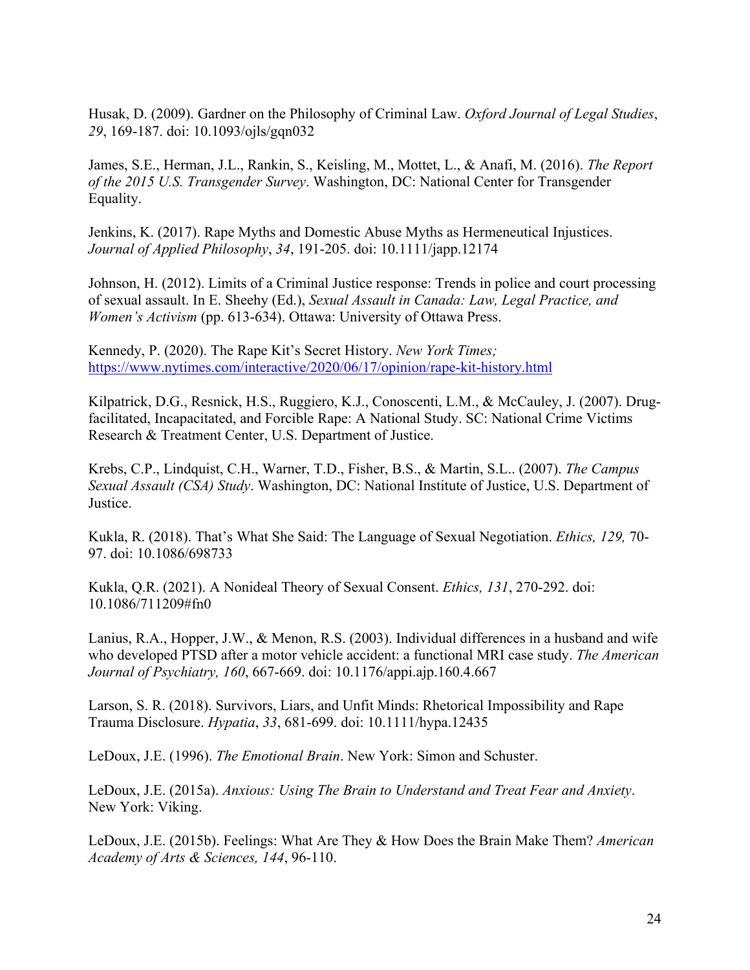Husak, D. (2009). Gardner on the Philosophy of Criminal Law. *Oxford Journal of Legal Studies*, *29*, 169-187. doi: 10.1093/ojls/gqn032

James, S.E., Herman, J.L., Rankin, S., Keisling, M., Mottet, L., & Anafi, M. (2016). *The Report of the 2015 U.S. Transgender Survey*. Washington, DC: National Center for Transgender Equality.

Jenkins, K. (2017). Rape Myths and Domestic Abuse Myths as Hermeneutical Injustices. *Journal of Applied Philosophy*, *34*, 191-205. doi: 10.1111/japp.12174

Johnson, H. (2012). Limits of a Criminal Justice response: Trends in police and court processing of sexual assault. In E. Sheehy (Ed.), *Sexual Assault in Canada: Law, Legal Practice, and Women's Activism* (pp. 613-634). Ottawa: University of Ottawa Press.

Kennedy, P. (2020). The Rape Kit's Secret History. *New York Times;* https://www.nytimes.com/interactive/2020/06/17/opinion/rape-kit-history.html

Kilpatrick, D.G., Resnick, H.S., Ruggiero, K.J., Conoscenti, L.M., & McCauley, J. (2007). Drugfacilitated, Incapacitated, and Forcible Rape: A National Study. SC: National Crime Victims Research & Treatment Center, U.S. Department of Justice.

Krebs, C.P., Lindquist, C.H., Warner, T.D., Fisher, B.S., & Martin, S.L.. (2007). *The Campus Sexual Assault (CSA) Study*. Washington, DC: National Institute of Justice, U.S. Department of Justice.

Kukla, R. (2018). That's What She Said: The Language of Sexual Negotiation. *Ethics, 129,* 70- 97. doi: 10.1086/698733

Kukla, Q.R. (2021). A Nonideal Theory of Sexual Consent. *Ethics, 131*, 270-292. doi: 10.1086/711209#fn0

Lanius, R.A., Hopper, J.W., & Menon, R.S. (2003). Individual differences in a husband and wife who developed PTSD after a motor vehicle accident: a functional MRI case study. *The American Journal of Psychiatry, 160*, 667-669. doi: 10.1176/appi.ajp.160.4.667

Larson, S. R. (2018). Survivors, Liars, and Unfit Minds: Rhetorical Impossibility and Rape Trauma Disclosure. *Hypatia*, *33*, 681-699. doi: 10.1111/hypa.12435

LeDoux, J.E. (1996). *The Emotional Brain*. New York: Simon and Schuster.

LeDoux, J.E. (2015a). *Anxious: Using The Brain to Understand and Treat Fear and Anxiety*. New York: Viking.

LeDoux, J.E. (2015b). Feelings: What Are They & How Does the Brain Make Them? *American Academy of Arts & Sciences, 144*, 96-110.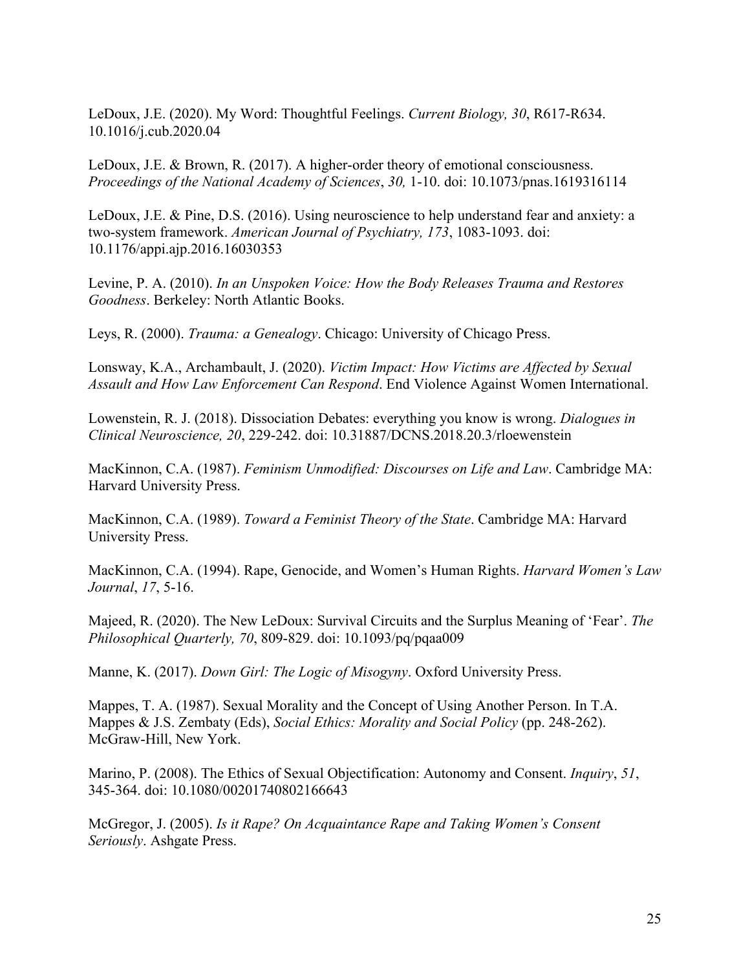LeDoux, J.E. (2020). My Word: Thoughtful Feelings. *Current Biology, 30*, R617-R634. 10.1016/j.cub.2020.04

LeDoux, J.E. & Brown, R. (2017). A higher-order theory of emotional consciousness. *Proceedings of the National Academy of Sciences*, *30,* 1-10. doi: 10.1073/pnas.1619316114

LeDoux, J.E. & Pine, D.S. (2016). Using neuroscience to help understand fear and anxiety: a two-system framework. *American Journal of Psychiatry, 173*, 1083-1093. doi: 10.1176/appi.ajp.2016.16030353

Levine, P. A. (2010). *In an Unspoken Voice: How the Body Releases Trauma and Restores Goodness*. Berkeley: North Atlantic Books.

Leys, R. (2000). *Trauma: a Genealogy*. Chicago: University of Chicago Press.

Lonsway, K.A., Archambault, J. (2020). *Victim Impact: How Victims are Affected by Sexual Assault and How Law Enforcement Can Respond*. End Violence Against Women International.

Lowenstein, R. J. (2018). Dissociation Debates: everything you know is wrong. *Dialogues in Clinical Neuroscience, 20*, 229-242. doi: 10.31887/DCNS.2018.20.3/rloewenstein

MacKinnon, C.A. (1987). *Feminism Unmodified: Discourses on Life and Law*. Cambridge MA: Harvard University Press.

MacKinnon, C.A. (1989). *Toward a Feminist Theory of the State*. Cambridge MA: Harvard University Press.

MacKinnon, C.A. (1994). Rape, Genocide, and Women's Human Rights. *Harvard Women's Law Journal*, *17*, 5-16.

Majeed, R. (2020). The New LeDoux: Survival Circuits and the Surplus Meaning of 'Fear'. *The Philosophical Quarterly, 70*, 809-829. doi: 10.1093/pq/pqaa009

Manne, K. (2017). *Down Girl: The Logic of Misogyny*. Oxford University Press.

Mappes, T. A. (1987). Sexual Morality and the Concept of Using Another Person. In T.A. Mappes & J.S. Zembaty (Eds), *Social Ethics: Morality and Social Policy* (pp. 248-262). McGraw-Hill, New York.

Marino, P. (2008). The Ethics of Sexual Objectification: Autonomy and Consent. *Inquiry*, *51*, 345-364. doi: 10.1080/00201740802166643

McGregor, J. (2005). *Is it Rape? On Acquaintance Rape and Taking Women's Consent Seriously*. Ashgate Press.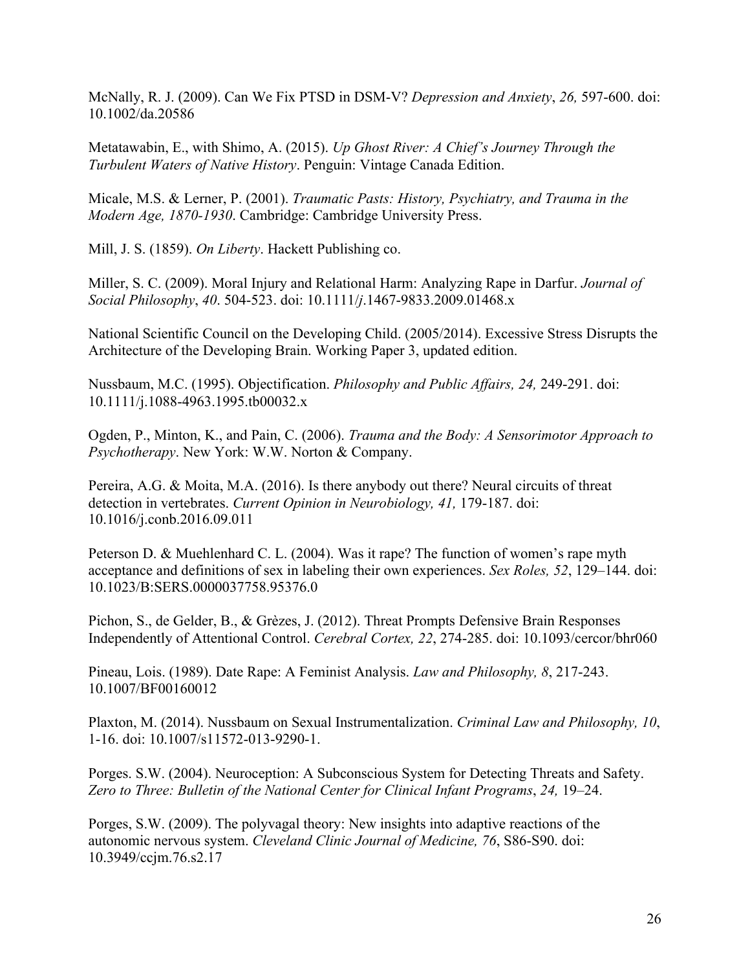McNally, R. J. (2009). Can We Fix PTSD in DSM-V? *Depression and Anxiety*, *26,* 597-600. doi: 10.1002/da.20586

Metatawabin, E., with Shimo, A. (2015). *Up Ghost River: A Chief's Journey Through the Turbulent Waters of Native History*. Penguin: Vintage Canada Edition.

Micale, M.S. & Lerner, P. (2001). *Traumatic Pasts: History, Psychiatry, and Trauma in the Modern Age, 1870-1930*. Cambridge: Cambridge University Press.

Mill, J. S. (1859). *On Liberty*. Hackett Publishing co.

Miller, S. C. (2009). Moral Injury and Relational Harm: Analyzing Rape in Darfur. *Journal of Social Philosophy*, *40*. 504-523. doi: 10.1111/*j*.1467-9833.2009.01468.x

National Scientific Council on the Developing Child. (2005/2014). Excessive Stress Disrupts the Architecture of the Developing Brain. Working Paper 3, updated edition.

Nussbaum, M.C. (1995). Objectification. *Philosophy and Public Affairs, 24,* 249-291. doi: 10.1111/j.1088-4963.1995.tb00032.x

Ogden, P., Minton, K., and Pain, C. (2006). *Trauma and the Body: A Sensorimotor Approach to Psychotherapy*. New York: W.W. Norton & Company.

Pereira, A.G. & Moita, M.A. (2016). Is there anybody out there? Neural circuits of threat detection in vertebrates. *Current Opinion in Neurobiology, 41,* 179-187. doi: 10.1016/j.conb.2016.09.011

Peterson D. & Muehlenhard C. L. (2004). Was it rape? The function of women's rape myth acceptance and definitions of sex in labeling their own experiences. *Sex Roles, 52*, 129–144. doi: 10.1023/B:SERS.0000037758.95376.0

Pichon, S., de Gelder, B., & Grèzes, J. (2012). Threat Prompts Defensive Brain Responses Independently of Attentional Control. *Cerebral Cortex, 22*, 274-285. doi: 10.1093/cercor/bhr060

Pineau, Lois. (1989). Date Rape: A Feminist Analysis. *Law and Philosophy, 8*, 217-243. 10.1007/BF00160012

Plaxton, M. (2014). Nussbaum on Sexual Instrumentalization. *Criminal Law and Philosophy, 10*, 1-16. doi: 10.1007/s11572-013-9290-1.

Porges. S.W. (2004). Neuroception: A Subconscious System for Detecting Threats and Safety. *Zero to Three: Bulletin of the National Center for Clinical Infant Programs*, *24,* 19–24.

Porges, S.W. (2009). The polyvagal theory: New insights into adaptive reactions of the autonomic nervous system. *Cleveland Clinic Journal of Medicine, 76*, S86-S90. doi: 10.3949/ccjm.76.s2.17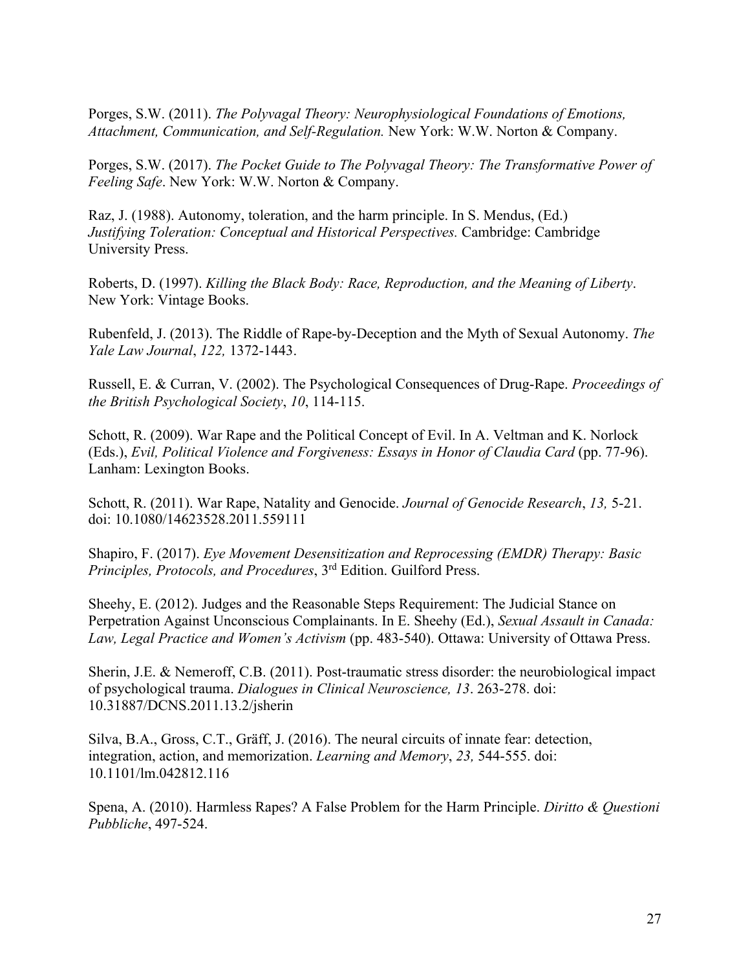Porges, S.W. (2011). *The Polyvagal Theory: Neurophysiological Foundations of Emotions, Attachment, Communication, and Self-Regulation.* New York: W.W. Norton & Company.

Porges, S.W. (2017). *The Pocket Guide to The Polyvagal Theory: The Transformative Power of Feeling Safe*. New York: W.W. Norton & Company.

Raz, J. (1988). Autonomy, toleration, and the harm principle. In S. Mendus, (Ed.) *Justifying Toleration: Conceptual and Historical Perspectives.* Cambridge: Cambridge University Press.

Roberts, D. (1997). *Killing the Black Body: Race, Reproduction, and the Meaning of Liberty*. New York: Vintage Books.

Rubenfeld, J. (2013). The Riddle of Rape-by-Deception and the Myth of Sexual Autonomy. *The Yale Law Journal*, *122,* 1372-1443.

Russell, E. & Curran, V. (2002). The Psychological Consequences of Drug-Rape. *Proceedings of the British Psychological Society*, *10*, 114-115.

Schott, R. (2009). War Rape and the Political Concept of Evil. In A. Veltman and K. Norlock (Eds.), *Evil, Political Violence and Forgiveness: Essays in Honor of Claudia Card* (pp. 77-96). Lanham: Lexington Books.

Schott, R. (2011). War Rape, Natality and Genocide. *Journal of Genocide Research*, *13,* 5-21. doi: 10.1080/14623528.2011.559111

Shapiro, F. (2017). *Eye Movement Desensitization and Reprocessing (EMDR) Therapy: Basic Principles, Protocols, and Procedures*, 3rd Edition. Guilford Press.

Sheehy, E. (2012). Judges and the Reasonable Steps Requirement: The Judicial Stance on Perpetration Against Unconscious Complainants. In E. Sheehy (Ed.), *Sexual Assault in Canada: Law, Legal Practice and Women's Activism* (pp. 483-540). Ottawa: University of Ottawa Press.

Sherin, J.E. & Nemeroff, C.B. (2011). Post-traumatic stress disorder: the neurobiological impact of psychological trauma. *Dialogues in Clinical Neuroscience, 13*. 263-278. doi: 10.31887/DCNS.2011.13.2/jsherin

Silva, B.A., Gross, C.T., Gräff, J. (2016). The neural circuits of innate fear: detection, integration, action, and memorization. *Learning and Memory*, *23,* 544-555. doi: 10.1101/lm.042812.116

Spena, A. (2010). Harmless Rapes? A False Problem for the Harm Principle. *Diritto & Questioni Pubbliche*, 497-524.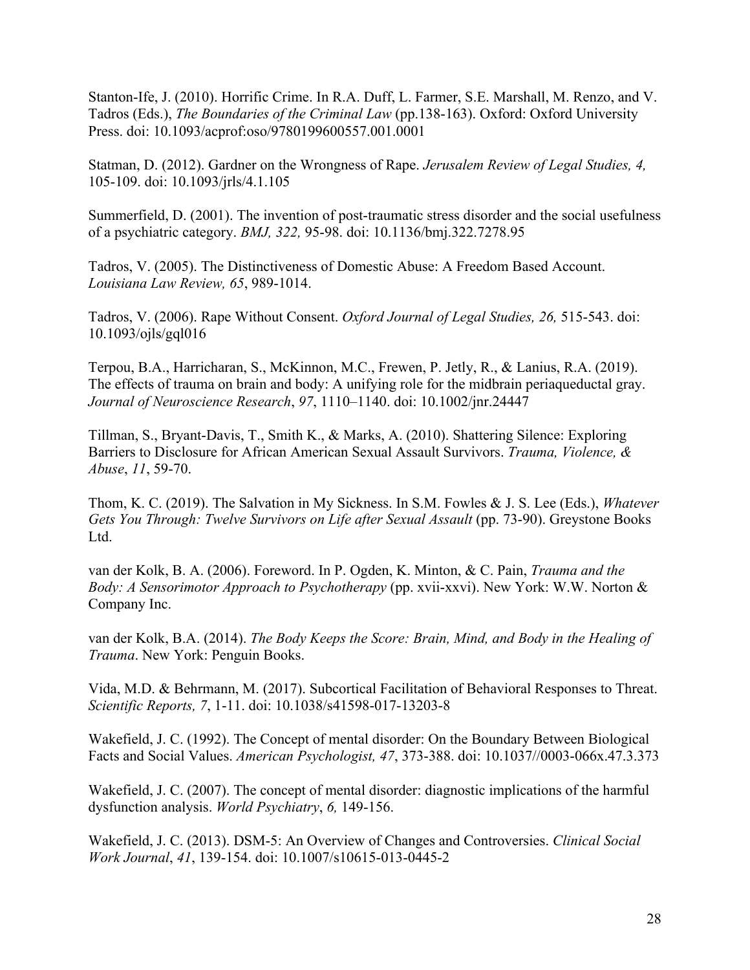Stanton-Ife, J. (2010). Horrific Crime. In R.A. Duff, L. Farmer, S.E. Marshall, M. Renzo, and V. Tadros (Eds.), *The Boundaries of the Criminal Law* (pp.138-163). Oxford: Oxford University Press. doi: 10.1093/acprof:oso/9780199600557.001.0001

Statman, D. (2012). Gardner on the Wrongness of Rape. *Jerusalem Review of Legal Studies, 4,*  105-109. doi: 10.1093/jrls/4.1.105

Summerfield, D. (2001). The invention of post-traumatic stress disorder and the social usefulness of a psychiatric category. *BMJ, 322,* 95-98. doi: 10.1136/bmj.322.7278.95

Tadros, V. (2005). The Distinctiveness of Domestic Abuse: A Freedom Based Account. *Louisiana Law Review, 65*, 989-1014.

Tadros, V. (2006). Rape Without Consent. *Oxford Journal of Legal Studies, 26,* 515-543. doi: 10.1093/ojls/gql016

Terpou, B.A., Harricharan, S., McKinnon, M.C., Frewen, P. Jetly, R., & Lanius, R.A. (2019). The effects of trauma on brain and body: A unifying role for the midbrain periaqueductal gray. *Journal of Neuroscience Research*, *97*, 1110–1140. doi: 10.1002/jnr.24447

Tillman, S., Bryant-Davis, T., Smith K., & Marks, A. (2010). Shattering Silence: Exploring Barriers to Disclosure for African American Sexual Assault Survivors. *Trauma, Violence, & Abuse*, *11*, 59-70.

Thom, K. C. (2019). The Salvation in My Sickness. In S.M. Fowles & J. S. Lee (Eds.), *Whatever Gets You Through: Twelve Survivors on Life after Sexual Assault* (pp. 73-90). Greystone Books Ltd.

van der Kolk, B. A. (2006). Foreword. In P. Ogden, K. Minton, & C. Pain, *Trauma and the Body: A Sensorimotor Approach to Psychotherapy* (pp. xvii-xxvi). New York: W.W. Norton & Company Inc.

van der Kolk, B.A. (2014). *The Body Keeps the Score: Brain, Mind, and Body in the Healing of Trauma*. New York: Penguin Books.

Vida, M.D. & Behrmann, M. (2017). Subcortical Facilitation of Behavioral Responses to Threat. *Scientific Reports, 7*, 1-11. doi: 10.1038/s41598-017-13203-8

Wakefield, J. C. (1992). The Concept of mental disorder: On the Boundary Between Biological Facts and Social Values. *American Psychologist, 47*, 373-388. doi: 10.1037//0003-066x.47.3.373

Wakefield, J. C. (2007). The concept of mental disorder: diagnostic implications of the harmful dysfunction analysis. *World Psychiatry*, *6,* 149-156.

Wakefield, J. C. (2013). DSM-5: An Overview of Changes and Controversies. *Clinical Social Work Journal*, *41*, 139-154. doi: 10.1007/s10615-013-0445-2